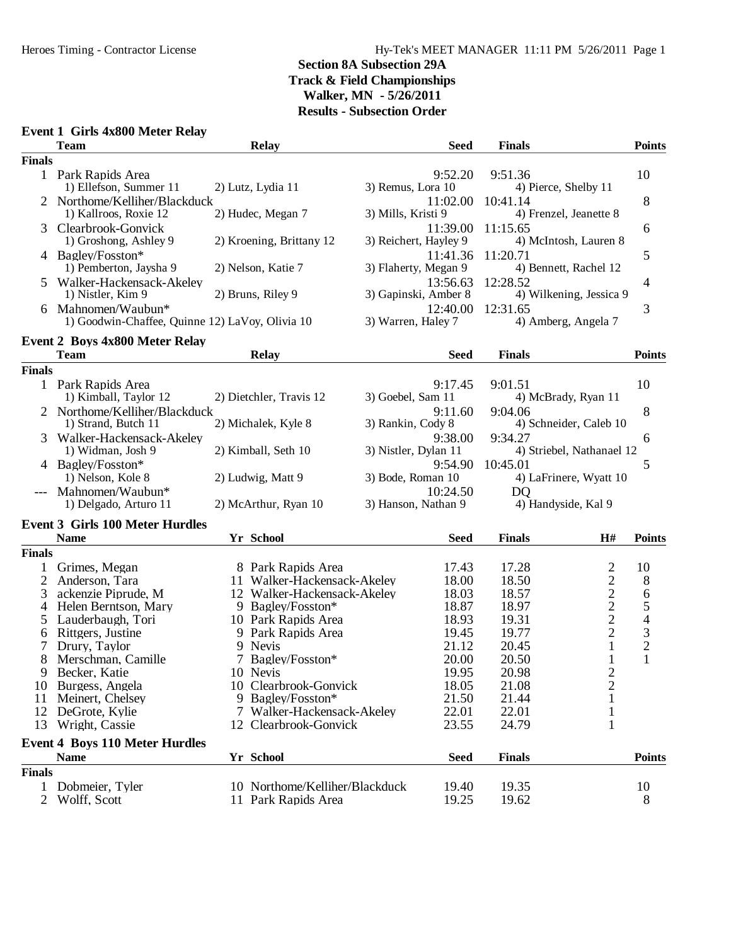#### **Event 1 Girls 4x800 Meter Relay**

|                | <b>Team</b>                                     | <b>Relay</b>                   | <b>Seed</b>           | <b>Finals</b>                                       | <b>Points</b>  |
|----------------|-------------------------------------------------|--------------------------------|-----------------------|-----------------------------------------------------|----------------|
| <b>Finals</b>  |                                                 |                                |                       |                                                     |                |
|                | 1 Park Rapids Area                              |                                | 9:52.20               | 9:51.36                                             | 10             |
|                | 1) Ellefson, Summer 11                          | 2) Lutz, Lydia 11              | 3) Remus, Lora 10     | 4) Pierce, Shelby 11                                |                |
|                | 2 Northome/Kelliher/Blackduck                   |                                | 11:02.00              | 10:41.14                                            | 8              |
|                | 1) Kallroos, Roxie 12                           | 2) Hudec, Megan 7              | 3) Mills, Kristi 9    | 4) Frenzel, Jeanette 8                              |                |
| 3              | Clearbrook-Gonvick                              |                                | 11:39.00              | 11:15.65                                            | 6              |
|                | 1) Groshong, Ashley 9                           | 2) Kroening, Brittany 12       | 3) Reichert, Hayley 9 | 4) McIntosh, Lauren 8                               |                |
|                | 4 Bagley/Fosston*                               |                                | 11:41.36              | 11:20.71                                            | 5              |
|                | 1) Pemberton, Jaysha 9                          | 2) Nelson, Katie 7             | 3) Flaherty, Megan 9  | 4) Bennett, Rachel 12                               |                |
|                | 5 Walker-Hackensack-Akeley                      |                                | 13:56.63              | 12:28.52                                            | 4              |
|                | 1) Nistler, Kim 9                               | 2) Bruns, Riley 9              | 3) Gapinski, Amber 8  | 4) Wilkening, Jessica 9                             |                |
| 6              | Mahnomen/Waubun*                                |                                | 12:40.00              | 12:31.65                                            | 3              |
|                | 1) Goodwin-Chaffee, Quinne 12) LaVoy, Olivia 10 |                                | 3) Warren, Haley 7    | 4) Amberg, Angela 7                                 |                |
|                | <b>Event 2 Boys 4x800 Meter Relay</b>           |                                |                       |                                                     |                |
|                | <b>Team</b>                                     | <b>Relay</b>                   | <b>Seed</b>           | <b>Finals</b>                                       | <b>Points</b>  |
| <b>Finals</b>  |                                                 |                                |                       |                                                     |                |
|                | 1 Park Rapids Area                              |                                | 9:17.45               | 9:01.51                                             | 10             |
|                | 1) Kimball, Taylor 12                           | 2) Dietchler, Travis 12        | 3) Goebel, Sam 11     | 4) McBrady, Ryan 11                                 |                |
|                | Northome/Kelliher/Blackduck                     |                                | 9:11.60               | 9:04.06                                             | 8              |
|                | 1) Strand, Butch 11                             | 2) Michalek, Kyle 8            | 3) Rankin, Cody 8     | 4) Schneider, Caleb 10                              |                |
| 3              | Walker-Hackensack-Akeley                        |                                | 9:38.00               | 9:34.27                                             | 6              |
|                | 1) Widman, Josh 9                               | 2) Kimball, Seth 10            | 3) Nistler, Dylan 11  | 4) Striebel, Nathanael 12                           |                |
|                | 4 Bagley/Fosston*                               |                                | 9:54.90               | 10:45.01                                            | 5              |
|                | 1) Nelson, Kole 8                               | 2) Ludwig, Matt 9              | 3) Bode, Roman 10     | 4) LaFrinere, Wyatt 10                              |                |
|                | --- Mahnomen/Waubun*                            |                                | 10:24.50              | D <sub>O</sub>                                      |                |
|                | 1) Delgado, Arturo 11                           | 2) McArthur, Ryan 10           | 3) Hanson, Nathan 9   | 4) Handyside, Kal 9                                 |                |
|                | <b>Event 3 Girls 100 Meter Hurdles</b>          |                                |                       |                                                     |                |
|                | <b>Name</b>                                     | Yr School                      | <b>Seed</b>           | <b>Finals</b><br>H#                                 | <b>Points</b>  |
| <b>Finals</b>  |                                                 |                                |                       |                                                     |                |
|                | Grimes, Megan                                   | 8 Park Rapids Area             | 17.43                 | $\overline{c}$<br>17.28                             | 10             |
| $\overline{c}$ | Anderson, Tara                                  | 11 Walker-Hackensack-Akeley    | 18.00                 | $\overline{c}$<br>18.50                             | 8              |
| 3              | ackenzie Piprude, M                             | 12 Walker-Hackensack-Akeley    | 18.03                 | 18.57                                               | 6              |
| $\overline{4}$ | Helen Berntson, Mary                            | 9 Bagley/Fosston*              | 18.87                 | $\begin{array}{c} 2 \\ 2 \\ 2 \end{array}$<br>18.97 | 5              |
| 5              | Lauderbaugh, Tori                               | 10 Park Rapids Area            | 18.93                 | 19.31                                               | $\overline{4}$ |
| 6              | Rittgers, Justine                               | 9 Park Rapids Area             | 19.45                 | $\overline{c}$<br>19.77                             |                |
| 7              | Drury, Taylor                                   | 9 Nevis                        | 21.12                 | $\mathbf{1}$<br>20.45                               | $\frac{3}{2}$  |
| 8              | Merschman, Camille                              | 7 Bagley/Fosston*              | 20.00                 | $\mathbf 1$<br>20.50                                | $\mathbf{1}$   |
|                | 9 Becker, Katie                                 | 10 Nevis                       | 19.95                 | $\mathbf{2}$<br>20.98                               |                |
| 10             | Burgess, Angela                                 | 10 Clearbrook-Gonvick          | 18.05                 | 2<br>21.08                                          |                |
| 11             | Meinert, Chelsey                                | 9 Bagley/Fosston*              | 21.50                 | 21.44                                               |                |
| 12             | DeGrote, Kylie                                  | 7 Walker-Hackensack-Akeley     | 22.01                 | 22.01                                               |                |
| 13             | Wright, Cassie                                  | 12 Clearbrook-Gonvick          | 23.55                 | 24.79<br>1                                          |                |
|                | <b>Event 4 Boys 110 Meter Hurdles</b>           |                                |                       |                                                     |                |
|                | <b>Name</b>                                     | Yr School                      | <b>Seed</b>           | <b>Finals</b>                                       | <b>Points</b>  |
| <b>Finals</b>  |                                                 |                                |                       |                                                     |                |
|                | Dobmeier, Tyler                                 | 10 Northome/Kelliher/Blackduck | 19.40                 | 19.35                                               | 10             |
| $\overline{2}$ | Wolff, Scott                                    | 11 Park Rapids Area            | 19.25                 | 19.62                                               | 8              |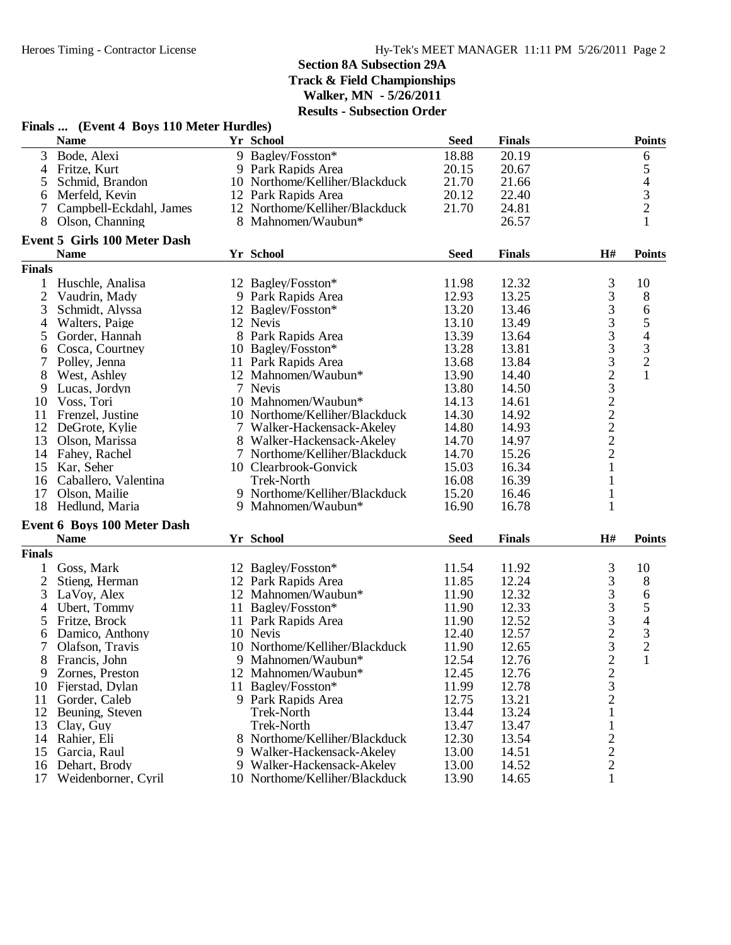| Yr School<br><b>Name</b><br><b>Seed</b><br><b>Finals</b><br>3<br>Bode, Alexi<br>18.88<br>9 Bagley/Fosston*<br>20.19<br>6<br>5<br>Fritze, Kurt<br>20.15<br>20.67<br>9 Park Rapids Area<br>4<br>$rac{4}{3}$<br>21.70<br>Schmid, Brandon<br>10 Northome/Kelliher/Blackduck<br>21.66<br>5<br>20.12<br>22.40<br>Merfeld, Kevin<br>12 Park Rapids Area<br>6<br>$\overline{2}$<br>21.70<br>24.81<br>Campbell-Eckdahl, James<br>12 Northome/Kelliher/Blackduck<br>7<br>26.57<br>$\mathbf{1}$<br>8<br>Olson, Channing<br>8 Mahnomen/Waubun*<br><b>Event 5 Girls 100 Meter Dash</b><br><b>Name</b><br>Yr School<br><b>Seed</b><br>H#<br><b>Finals</b><br><b>Finals</b><br>$\mathfrak{Z}$<br>12.32<br>10<br>Huschle, Analisa<br>12 Bagley/Fosston*<br>11.98<br>1<br>3<br>12.93<br>13.25<br>$\,8\,$<br>$\overline{2}$<br>9 Park Rapids Area<br>Vaudrin, Mady<br>3<br>3<br>13.20<br>6<br>13.46<br>Schmidt, Alyssa<br>12 Bagley/Fosston*<br>$\frac{3}{3}$<br>5<br>Walters, Paige<br>12 Nevis<br>13.10<br>13.49<br>4<br>$\overline{\mathcal{A}}$<br>8 Park Rapids Area<br>13.39<br>13.64<br>Gorder, Hannah<br>5<br>3<br>$\frac{3}{2}$<br>10 Bagley/Fosston*<br>13.28<br>13.81<br>Cosca, Courtney<br>6<br>3232222<br>7<br>13.68<br>13.84<br>Polley, Jenna<br>11 Park Rapids Area<br>$\mathbf{1}$<br>8<br>13.90<br>14.40<br>West, Ashley<br>12 Mahnomen/Waubun*<br>Lucas, Jordyn<br>7 Nevis<br>13.80<br>14.50<br>9<br>10 Mahnomen/Waubun*<br>14.13<br>14.61<br>10<br>Voss, Tori<br>10 Northome/Kelliher/Blackduck<br>14.30<br>14.92<br>Frenzel, Justine<br>11<br>12<br>14.93<br>DeGrote, Kylie<br>7 Walker-Hackensack-Akeley<br>14.80<br>14.70<br>14.97<br>13<br>Olson, Marissa<br>8 Walker-Hackensack-Akeley<br>7 Northome/Kelliher/Blackduck<br>14.70<br>15.26<br>14<br>Fahey, Rachel<br>$\mathbf{1}$<br>15 Kar, Seher<br>15.03<br>16.34<br>10 Clearbrook-Gonvick<br>16 Caballero, Valentina<br><b>Trek-North</b><br>16.08<br>16.39<br>1<br>9 Northome/Kelliher/Blackduck<br>Olson, Mailie<br>15.20<br>16.46<br>17<br>$\mathbf{1}$<br>18<br>Hedlund, Maria<br>9 Mahnomen/Waubun*<br>16.90<br>16.78<br>1<br><b>Event 6 Boys 100 Meter Dash</b><br>Yr School<br>H#<br><b>Name</b><br><b>Seed</b><br><b>Finals</b><br><b>Points</b><br><b>Finals</b><br>3<br>10<br>Goss, Mark<br>12 Bagley/Fosston*<br>11.54<br>11.92<br>$\mathbf{1}$<br>3<br>$\overline{2}$<br>12.24<br>$\,8\,$<br>Stieng, Herman<br>11.85<br>12 Park Rapids Area<br>3<br>3<br>11.90<br>12.32<br>LaVoy, Alex<br>12 Mahnomen/Waubun*<br>6<br>3<br>$\sqrt{5}$<br>11 Bagley/Fosston*<br>12.33<br>4<br>Ubert, Tommy<br>11.90<br>$\frac{3}{2}$<br>$\overline{4}$<br>12.52<br>5<br>Fritze, Brock<br>11 Park Rapids Area<br>11.90<br>$\mathfrak{Z}$<br>12.40<br>12.57<br>Damico, Anthony<br>10 Nevis<br>6<br>3<br>$\overline{2}$<br>$\tau$<br>10 Northome/Kelliher/Blackduck<br>12.65<br>Olafson, Travis<br>11.90<br>$\overline{\mathbf{c}}$<br>9 Mahnomen/Waubun*<br>12.54<br>12.76<br>$\mathbf{1}$<br>Francis, John<br>8<br>$\frac{2}{3}$<br>12.45<br>12.76<br>9<br>Zornes, Preston<br>12 Mahnomen/Waubun*<br>11.99<br>12.78<br>Fjerstad, Dylan<br>11 Bagley/Fosston*<br>10<br>12.75<br>13.21<br>Gorder, Caleb<br>9 Park Rapids Area<br>11<br>$\,1$<br>13.44<br>13.24<br>12<br>Beuning, Steven<br><b>Trek-North</b><br>$\mathbf 1$<br><b>Trek-North</b><br>13.47<br>13.47<br>13<br>Clay, Guy | Finals  (Event 4 Boys 110 Meter Hurdles) |                             |       |       |               |
|----------------------------------------------------------------------------------------------------------------------------------------------------------------------------------------------------------------------------------------------------------------------------------------------------------------------------------------------------------------------------------------------------------------------------------------------------------------------------------------------------------------------------------------------------------------------------------------------------------------------------------------------------------------------------------------------------------------------------------------------------------------------------------------------------------------------------------------------------------------------------------------------------------------------------------------------------------------------------------------------------------------------------------------------------------------------------------------------------------------------------------------------------------------------------------------------------------------------------------------------------------------------------------------------------------------------------------------------------------------------------------------------------------------------------------------------------------------------------------------------------------------------------------------------------------------------------------------------------------------------------------------------------------------------------------------------------------------------------------------------------------------------------------------------------------------------------------------------------------------------------------------------------------------------------------------------------------------------------------------------------------------------------------------------------------------------------------------------------------------------------------------------------------------------------------------------------------------------------------------------------------------------------------------------------------------------------------------------------------------------------------------------------------------------------------------------------------------------------------------------------------------------------------------------------------------------------------------------------------------------------------------------------------------------------------------------------------------------------------------------------------------------------------------------------------------------------------------------------------------------------------------------------------------------------------------------------------------------------------------------------------------------------------------------------------------------------------------------------------------------------------------------------------------------------------------------------------------------------------------------------------------------------------------------------------------------------------------|------------------------------------------|-----------------------------|-------|-------|---------------|
|                                                                                                                                                                                                                                                                                                                                                                                                                                                                                                                                                                                                                                                                                                                                                                                                                                                                                                                                                                                                                                                                                                                                                                                                                                                                                                                                                                                                                                                                                                                                                                                                                                                                                                                                                                                                                                                                                                                                                                                                                                                                                                                                                                                                                                                                                                                                                                                                                                                                                                                                                                                                                                                                                                                                                                                                                                                                                                                                                                                                                                                                                                                                                                                                                                                                                                                                        |                                          |                             |       |       | <b>Points</b> |
|                                                                                                                                                                                                                                                                                                                                                                                                                                                                                                                                                                                                                                                                                                                                                                                                                                                                                                                                                                                                                                                                                                                                                                                                                                                                                                                                                                                                                                                                                                                                                                                                                                                                                                                                                                                                                                                                                                                                                                                                                                                                                                                                                                                                                                                                                                                                                                                                                                                                                                                                                                                                                                                                                                                                                                                                                                                                                                                                                                                                                                                                                                                                                                                                                                                                                                                                        |                                          |                             |       |       |               |
|                                                                                                                                                                                                                                                                                                                                                                                                                                                                                                                                                                                                                                                                                                                                                                                                                                                                                                                                                                                                                                                                                                                                                                                                                                                                                                                                                                                                                                                                                                                                                                                                                                                                                                                                                                                                                                                                                                                                                                                                                                                                                                                                                                                                                                                                                                                                                                                                                                                                                                                                                                                                                                                                                                                                                                                                                                                                                                                                                                                                                                                                                                                                                                                                                                                                                                                                        |                                          |                             |       |       |               |
|                                                                                                                                                                                                                                                                                                                                                                                                                                                                                                                                                                                                                                                                                                                                                                                                                                                                                                                                                                                                                                                                                                                                                                                                                                                                                                                                                                                                                                                                                                                                                                                                                                                                                                                                                                                                                                                                                                                                                                                                                                                                                                                                                                                                                                                                                                                                                                                                                                                                                                                                                                                                                                                                                                                                                                                                                                                                                                                                                                                                                                                                                                                                                                                                                                                                                                                                        |                                          |                             |       |       |               |
|                                                                                                                                                                                                                                                                                                                                                                                                                                                                                                                                                                                                                                                                                                                                                                                                                                                                                                                                                                                                                                                                                                                                                                                                                                                                                                                                                                                                                                                                                                                                                                                                                                                                                                                                                                                                                                                                                                                                                                                                                                                                                                                                                                                                                                                                                                                                                                                                                                                                                                                                                                                                                                                                                                                                                                                                                                                                                                                                                                                                                                                                                                                                                                                                                                                                                                                                        |                                          |                             |       |       |               |
|                                                                                                                                                                                                                                                                                                                                                                                                                                                                                                                                                                                                                                                                                                                                                                                                                                                                                                                                                                                                                                                                                                                                                                                                                                                                                                                                                                                                                                                                                                                                                                                                                                                                                                                                                                                                                                                                                                                                                                                                                                                                                                                                                                                                                                                                                                                                                                                                                                                                                                                                                                                                                                                                                                                                                                                                                                                                                                                                                                                                                                                                                                                                                                                                                                                                                                                                        |                                          |                             |       |       |               |
|                                                                                                                                                                                                                                                                                                                                                                                                                                                                                                                                                                                                                                                                                                                                                                                                                                                                                                                                                                                                                                                                                                                                                                                                                                                                                                                                                                                                                                                                                                                                                                                                                                                                                                                                                                                                                                                                                                                                                                                                                                                                                                                                                                                                                                                                                                                                                                                                                                                                                                                                                                                                                                                                                                                                                                                                                                                                                                                                                                                                                                                                                                                                                                                                                                                                                                                                        |                                          |                             |       |       |               |
|                                                                                                                                                                                                                                                                                                                                                                                                                                                                                                                                                                                                                                                                                                                                                                                                                                                                                                                                                                                                                                                                                                                                                                                                                                                                                                                                                                                                                                                                                                                                                                                                                                                                                                                                                                                                                                                                                                                                                                                                                                                                                                                                                                                                                                                                                                                                                                                                                                                                                                                                                                                                                                                                                                                                                                                                                                                                                                                                                                                                                                                                                                                                                                                                                                                                                                                                        |                                          |                             |       |       |               |
|                                                                                                                                                                                                                                                                                                                                                                                                                                                                                                                                                                                                                                                                                                                                                                                                                                                                                                                                                                                                                                                                                                                                                                                                                                                                                                                                                                                                                                                                                                                                                                                                                                                                                                                                                                                                                                                                                                                                                                                                                                                                                                                                                                                                                                                                                                                                                                                                                                                                                                                                                                                                                                                                                                                                                                                                                                                                                                                                                                                                                                                                                                                                                                                                                                                                                                                                        |                                          |                             |       |       | <b>Points</b> |
|                                                                                                                                                                                                                                                                                                                                                                                                                                                                                                                                                                                                                                                                                                                                                                                                                                                                                                                                                                                                                                                                                                                                                                                                                                                                                                                                                                                                                                                                                                                                                                                                                                                                                                                                                                                                                                                                                                                                                                                                                                                                                                                                                                                                                                                                                                                                                                                                                                                                                                                                                                                                                                                                                                                                                                                                                                                                                                                                                                                                                                                                                                                                                                                                                                                                                                                                        |                                          |                             |       |       |               |
|                                                                                                                                                                                                                                                                                                                                                                                                                                                                                                                                                                                                                                                                                                                                                                                                                                                                                                                                                                                                                                                                                                                                                                                                                                                                                                                                                                                                                                                                                                                                                                                                                                                                                                                                                                                                                                                                                                                                                                                                                                                                                                                                                                                                                                                                                                                                                                                                                                                                                                                                                                                                                                                                                                                                                                                                                                                                                                                                                                                                                                                                                                                                                                                                                                                                                                                                        |                                          |                             |       |       |               |
|                                                                                                                                                                                                                                                                                                                                                                                                                                                                                                                                                                                                                                                                                                                                                                                                                                                                                                                                                                                                                                                                                                                                                                                                                                                                                                                                                                                                                                                                                                                                                                                                                                                                                                                                                                                                                                                                                                                                                                                                                                                                                                                                                                                                                                                                                                                                                                                                                                                                                                                                                                                                                                                                                                                                                                                                                                                                                                                                                                                                                                                                                                                                                                                                                                                                                                                                        |                                          |                             |       |       |               |
|                                                                                                                                                                                                                                                                                                                                                                                                                                                                                                                                                                                                                                                                                                                                                                                                                                                                                                                                                                                                                                                                                                                                                                                                                                                                                                                                                                                                                                                                                                                                                                                                                                                                                                                                                                                                                                                                                                                                                                                                                                                                                                                                                                                                                                                                                                                                                                                                                                                                                                                                                                                                                                                                                                                                                                                                                                                                                                                                                                                                                                                                                                                                                                                                                                                                                                                                        |                                          |                             |       |       |               |
|                                                                                                                                                                                                                                                                                                                                                                                                                                                                                                                                                                                                                                                                                                                                                                                                                                                                                                                                                                                                                                                                                                                                                                                                                                                                                                                                                                                                                                                                                                                                                                                                                                                                                                                                                                                                                                                                                                                                                                                                                                                                                                                                                                                                                                                                                                                                                                                                                                                                                                                                                                                                                                                                                                                                                                                                                                                                                                                                                                                                                                                                                                                                                                                                                                                                                                                                        |                                          |                             |       |       |               |
|                                                                                                                                                                                                                                                                                                                                                                                                                                                                                                                                                                                                                                                                                                                                                                                                                                                                                                                                                                                                                                                                                                                                                                                                                                                                                                                                                                                                                                                                                                                                                                                                                                                                                                                                                                                                                                                                                                                                                                                                                                                                                                                                                                                                                                                                                                                                                                                                                                                                                                                                                                                                                                                                                                                                                                                                                                                                                                                                                                                                                                                                                                                                                                                                                                                                                                                                        |                                          |                             |       |       |               |
|                                                                                                                                                                                                                                                                                                                                                                                                                                                                                                                                                                                                                                                                                                                                                                                                                                                                                                                                                                                                                                                                                                                                                                                                                                                                                                                                                                                                                                                                                                                                                                                                                                                                                                                                                                                                                                                                                                                                                                                                                                                                                                                                                                                                                                                                                                                                                                                                                                                                                                                                                                                                                                                                                                                                                                                                                                                                                                                                                                                                                                                                                                                                                                                                                                                                                                                                        |                                          |                             |       |       |               |
|                                                                                                                                                                                                                                                                                                                                                                                                                                                                                                                                                                                                                                                                                                                                                                                                                                                                                                                                                                                                                                                                                                                                                                                                                                                                                                                                                                                                                                                                                                                                                                                                                                                                                                                                                                                                                                                                                                                                                                                                                                                                                                                                                                                                                                                                                                                                                                                                                                                                                                                                                                                                                                                                                                                                                                                                                                                                                                                                                                                                                                                                                                                                                                                                                                                                                                                                        |                                          |                             |       |       |               |
|                                                                                                                                                                                                                                                                                                                                                                                                                                                                                                                                                                                                                                                                                                                                                                                                                                                                                                                                                                                                                                                                                                                                                                                                                                                                                                                                                                                                                                                                                                                                                                                                                                                                                                                                                                                                                                                                                                                                                                                                                                                                                                                                                                                                                                                                                                                                                                                                                                                                                                                                                                                                                                                                                                                                                                                                                                                                                                                                                                                                                                                                                                                                                                                                                                                                                                                                        |                                          |                             |       |       |               |
|                                                                                                                                                                                                                                                                                                                                                                                                                                                                                                                                                                                                                                                                                                                                                                                                                                                                                                                                                                                                                                                                                                                                                                                                                                                                                                                                                                                                                                                                                                                                                                                                                                                                                                                                                                                                                                                                                                                                                                                                                                                                                                                                                                                                                                                                                                                                                                                                                                                                                                                                                                                                                                                                                                                                                                                                                                                                                                                                                                                                                                                                                                                                                                                                                                                                                                                                        |                                          |                             |       |       |               |
|                                                                                                                                                                                                                                                                                                                                                                                                                                                                                                                                                                                                                                                                                                                                                                                                                                                                                                                                                                                                                                                                                                                                                                                                                                                                                                                                                                                                                                                                                                                                                                                                                                                                                                                                                                                                                                                                                                                                                                                                                                                                                                                                                                                                                                                                                                                                                                                                                                                                                                                                                                                                                                                                                                                                                                                                                                                                                                                                                                                                                                                                                                                                                                                                                                                                                                                                        |                                          |                             |       |       |               |
|                                                                                                                                                                                                                                                                                                                                                                                                                                                                                                                                                                                                                                                                                                                                                                                                                                                                                                                                                                                                                                                                                                                                                                                                                                                                                                                                                                                                                                                                                                                                                                                                                                                                                                                                                                                                                                                                                                                                                                                                                                                                                                                                                                                                                                                                                                                                                                                                                                                                                                                                                                                                                                                                                                                                                                                                                                                                                                                                                                                                                                                                                                                                                                                                                                                                                                                                        |                                          |                             |       |       |               |
|                                                                                                                                                                                                                                                                                                                                                                                                                                                                                                                                                                                                                                                                                                                                                                                                                                                                                                                                                                                                                                                                                                                                                                                                                                                                                                                                                                                                                                                                                                                                                                                                                                                                                                                                                                                                                                                                                                                                                                                                                                                                                                                                                                                                                                                                                                                                                                                                                                                                                                                                                                                                                                                                                                                                                                                                                                                                                                                                                                                                                                                                                                                                                                                                                                                                                                                                        |                                          |                             |       |       |               |
|                                                                                                                                                                                                                                                                                                                                                                                                                                                                                                                                                                                                                                                                                                                                                                                                                                                                                                                                                                                                                                                                                                                                                                                                                                                                                                                                                                                                                                                                                                                                                                                                                                                                                                                                                                                                                                                                                                                                                                                                                                                                                                                                                                                                                                                                                                                                                                                                                                                                                                                                                                                                                                                                                                                                                                                                                                                                                                                                                                                                                                                                                                                                                                                                                                                                                                                                        |                                          |                             |       |       |               |
|                                                                                                                                                                                                                                                                                                                                                                                                                                                                                                                                                                                                                                                                                                                                                                                                                                                                                                                                                                                                                                                                                                                                                                                                                                                                                                                                                                                                                                                                                                                                                                                                                                                                                                                                                                                                                                                                                                                                                                                                                                                                                                                                                                                                                                                                                                                                                                                                                                                                                                                                                                                                                                                                                                                                                                                                                                                                                                                                                                                                                                                                                                                                                                                                                                                                                                                                        |                                          |                             |       |       |               |
|                                                                                                                                                                                                                                                                                                                                                                                                                                                                                                                                                                                                                                                                                                                                                                                                                                                                                                                                                                                                                                                                                                                                                                                                                                                                                                                                                                                                                                                                                                                                                                                                                                                                                                                                                                                                                                                                                                                                                                                                                                                                                                                                                                                                                                                                                                                                                                                                                                                                                                                                                                                                                                                                                                                                                                                                                                                                                                                                                                                                                                                                                                                                                                                                                                                                                                                                        |                                          |                             |       |       |               |
|                                                                                                                                                                                                                                                                                                                                                                                                                                                                                                                                                                                                                                                                                                                                                                                                                                                                                                                                                                                                                                                                                                                                                                                                                                                                                                                                                                                                                                                                                                                                                                                                                                                                                                                                                                                                                                                                                                                                                                                                                                                                                                                                                                                                                                                                                                                                                                                                                                                                                                                                                                                                                                                                                                                                                                                                                                                                                                                                                                                                                                                                                                                                                                                                                                                                                                                                        |                                          |                             |       |       |               |
|                                                                                                                                                                                                                                                                                                                                                                                                                                                                                                                                                                                                                                                                                                                                                                                                                                                                                                                                                                                                                                                                                                                                                                                                                                                                                                                                                                                                                                                                                                                                                                                                                                                                                                                                                                                                                                                                                                                                                                                                                                                                                                                                                                                                                                                                                                                                                                                                                                                                                                                                                                                                                                                                                                                                                                                                                                                                                                                                                                                                                                                                                                                                                                                                                                                                                                                                        |                                          |                             |       |       |               |
|                                                                                                                                                                                                                                                                                                                                                                                                                                                                                                                                                                                                                                                                                                                                                                                                                                                                                                                                                                                                                                                                                                                                                                                                                                                                                                                                                                                                                                                                                                                                                                                                                                                                                                                                                                                                                                                                                                                                                                                                                                                                                                                                                                                                                                                                                                                                                                                                                                                                                                                                                                                                                                                                                                                                                                                                                                                                                                                                                                                                                                                                                                                                                                                                                                                                                                                                        |                                          |                             |       |       |               |
|                                                                                                                                                                                                                                                                                                                                                                                                                                                                                                                                                                                                                                                                                                                                                                                                                                                                                                                                                                                                                                                                                                                                                                                                                                                                                                                                                                                                                                                                                                                                                                                                                                                                                                                                                                                                                                                                                                                                                                                                                                                                                                                                                                                                                                                                                                                                                                                                                                                                                                                                                                                                                                                                                                                                                                                                                                                                                                                                                                                                                                                                                                                                                                                                                                                                                                                                        |                                          |                             |       |       |               |
|                                                                                                                                                                                                                                                                                                                                                                                                                                                                                                                                                                                                                                                                                                                                                                                                                                                                                                                                                                                                                                                                                                                                                                                                                                                                                                                                                                                                                                                                                                                                                                                                                                                                                                                                                                                                                                                                                                                                                                                                                                                                                                                                                                                                                                                                                                                                                                                                                                                                                                                                                                                                                                                                                                                                                                                                                                                                                                                                                                                                                                                                                                                                                                                                                                                                                                                                        |                                          |                             |       |       |               |
|                                                                                                                                                                                                                                                                                                                                                                                                                                                                                                                                                                                                                                                                                                                                                                                                                                                                                                                                                                                                                                                                                                                                                                                                                                                                                                                                                                                                                                                                                                                                                                                                                                                                                                                                                                                                                                                                                                                                                                                                                                                                                                                                                                                                                                                                                                                                                                                                                                                                                                                                                                                                                                                                                                                                                                                                                                                                                                                                                                                                                                                                                                                                                                                                                                                                                                                                        |                                          |                             |       |       |               |
|                                                                                                                                                                                                                                                                                                                                                                                                                                                                                                                                                                                                                                                                                                                                                                                                                                                                                                                                                                                                                                                                                                                                                                                                                                                                                                                                                                                                                                                                                                                                                                                                                                                                                                                                                                                                                                                                                                                                                                                                                                                                                                                                                                                                                                                                                                                                                                                                                                                                                                                                                                                                                                                                                                                                                                                                                                                                                                                                                                                                                                                                                                                                                                                                                                                                                                                                        |                                          |                             |       |       |               |
|                                                                                                                                                                                                                                                                                                                                                                                                                                                                                                                                                                                                                                                                                                                                                                                                                                                                                                                                                                                                                                                                                                                                                                                                                                                                                                                                                                                                                                                                                                                                                                                                                                                                                                                                                                                                                                                                                                                                                                                                                                                                                                                                                                                                                                                                                                                                                                                                                                                                                                                                                                                                                                                                                                                                                                                                                                                                                                                                                                                                                                                                                                                                                                                                                                                                                                                                        |                                          |                             |       |       |               |
|                                                                                                                                                                                                                                                                                                                                                                                                                                                                                                                                                                                                                                                                                                                                                                                                                                                                                                                                                                                                                                                                                                                                                                                                                                                                                                                                                                                                                                                                                                                                                                                                                                                                                                                                                                                                                                                                                                                                                                                                                                                                                                                                                                                                                                                                                                                                                                                                                                                                                                                                                                                                                                                                                                                                                                                                                                                                                                                                                                                                                                                                                                                                                                                                                                                                                                                                        |                                          |                             |       |       |               |
|                                                                                                                                                                                                                                                                                                                                                                                                                                                                                                                                                                                                                                                                                                                                                                                                                                                                                                                                                                                                                                                                                                                                                                                                                                                                                                                                                                                                                                                                                                                                                                                                                                                                                                                                                                                                                                                                                                                                                                                                                                                                                                                                                                                                                                                                                                                                                                                                                                                                                                                                                                                                                                                                                                                                                                                                                                                                                                                                                                                                                                                                                                                                                                                                                                                                                                                                        |                                          |                             |       |       |               |
|                                                                                                                                                                                                                                                                                                                                                                                                                                                                                                                                                                                                                                                                                                                                                                                                                                                                                                                                                                                                                                                                                                                                                                                                                                                                                                                                                                                                                                                                                                                                                                                                                                                                                                                                                                                                                                                                                                                                                                                                                                                                                                                                                                                                                                                                                                                                                                                                                                                                                                                                                                                                                                                                                                                                                                                                                                                                                                                                                                                                                                                                                                                                                                                                                                                                                                                                        |                                          |                             |       |       |               |
|                                                                                                                                                                                                                                                                                                                                                                                                                                                                                                                                                                                                                                                                                                                                                                                                                                                                                                                                                                                                                                                                                                                                                                                                                                                                                                                                                                                                                                                                                                                                                                                                                                                                                                                                                                                                                                                                                                                                                                                                                                                                                                                                                                                                                                                                                                                                                                                                                                                                                                                                                                                                                                                                                                                                                                                                                                                                                                                                                                                                                                                                                                                                                                                                                                                                                                                                        |                                          |                             |       |       |               |
|                                                                                                                                                                                                                                                                                                                                                                                                                                                                                                                                                                                                                                                                                                                                                                                                                                                                                                                                                                                                                                                                                                                                                                                                                                                                                                                                                                                                                                                                                                                                                                                                                                                                                                                                                                                                                                                                                                                                                                                                                                                                                                                                                                                                                                                                                                                                                                                                                                                                                                                                                                                                                                                                                                                                                                                                                                                                                                                                                                                                                                                                                                                                                                                                                                                                                                                                        |                                          |                             |       |       |               |
|                                                                                                                                                                                                                                                                                                                                                                                                                                                                                                                                                                                                                                                                                                                                                                                                                                                                                                                                                                                                                                                                                                                                                                                                                                                                                                                                                                                                                                                                                                                                                                                                                                                                                                                                                                                                                                                                                                                                                                                                                                                                                                                                                                                                                                                                                                                                                                                                                                                                                                                                                                                                                                                                                                                                                                                                                                                                                                                                                                                                                                                                                                                                                                                                                                                                                                                                        |                                          |                             |       |       |               |
|                                                                                                                                                                                                                                                                                                                                                                                                                                                                                                                                                                                                                                                                                                                                                                                                                                                                                                                                                                                                                                                                                                                                                                                                                                                                                                                                                                                                                                                                                                                                                                                                                                                                                                                                                                                                                                                                                                                                                                                                                                                                                                                                                                                                                                                                                                                                                                                                                                                                                                                                                                                                                                                                                                                                                                                                                                                                                                                                                                                                                                                                                                                                                                                                                                                                                                                                        |                                          |                             |       |       |               |
|                                                                                                                                                                                                                                                                                                                                                                                                                                                                                                                                                                                                                                                                                                                                                                                                                                                                                                                                                                                                                                                                                                                                                                                                                                                                                                                                                                                                                                                                                                                                                                                                                                                                                                                                                                                                                                                                                                                                                                                                                                                                                                                                                                                                                                                                                                                                                                                                                                                                                                                                                                                                                                                                                                                                                                                                                                                                                                                                                                                                                                                                                                                                                                                                                                                                                                                                        |                                          |                             |       |       |               |
|                                                                                                                                                                                                                                                                                                                                                                                                                                                                                                                                                                                                                                                                                                                                                                                                                                                                                                                                                                                                                                                                                                                                                                                                                                                                                                                                                                                                                                                                                                                                                                                                                                                                                                                                                                                                                                                                                                                                                                                                                                                                                                                                                                                                                                                                                                                                                                                                                                                                                                                                                                                                                                                                                                                                                                                                                                                                                                                                                                                                                                                                                                                                                                                                                                                                                                                                        |                                          |                             |       |       |               |
|                                                                                                                                                                                                                                                                                                                                                                                                                                                                                                                                                                                                                                                                                                                                                                                                                                                                                                                                                                                                                                                                                                                                                                                                                                                                                                                                                                                                                                                                                                                                                                                                                                                                                                                                                                                                                                                                                                                                                                                                                                                                                                                                                                                                                                                                                                                                                                                                                                                                                                                                                                                                                                                                                                                                                                                                                                                                                                                                                                                                                                                                                                                                                                                                                                                                                                                                        |                                          |                             |       |       |               |
|                                                                                                                                                                                                                                                                                                                                                                                                                                                                                                                                                                                                                                                                                                                                                                                                                                                                                                                                                                                                                                                                                                                                                                                                                                                                                                                                                                                                                                                                                                                                                                                                                                                                                                                                                                                                                                                                                                                                                                                                                                                                                                                                                                                                                                                                                                                                                                                                                                                                                                                                                                                                                                                                                                                                                                                                                                                                                                                                                                                                                                                                                                                                                                                                                                                                                                                                        |                                          |                             |       |       |               |
| 14<br>Rahier, Eli<br>8                                                                                                                                                                                                                                                                                                                                                                                                                                                                                                                                                                                                                                                                                                                                                                                                                                                                                                                                                                                                                                                                                                                                                                                                                                                                                                                                                                                                                                                                                                                                                                                                                                                                                                                                                                                                                                                                                                                                                                                                                                                                                                                                                                                                                                                                                                                                                                                                                                                                                                                                                                                                                                                                                                                                                                                                                                                                                                                                                                                                                                                                                                                                                                                                                                                                                                                 |                                          | Northome/Kelliher/Blackduck | 12.30 | 13.54 |               |
| 13.00<br>Garcia, Raul<br>9 Walker-Hackensack-Akeley<br>14.51<br>15                                                                                                                                                                                                                                                                                                                                                                                                                                                                                                                                                                                                                                                                                                                                                                                                                                                                                                                                                                                                                                                                                                                                                                                                                                                                                                                                                                                                                                                                                                                                                                                                                                                                                                                                                                                                                                                                                                                                                                                                                                                                                                                                                                                                                                                                                                                                                                                                                                                                                                                                                                                                                                                                                                                                                                                                                                                                                                                                                                                                                                                                                                                                                                                                                                                                     |                                          |                             |       |       |               |
| $\frac{2}{2}$<br>13.00<br>14.52<br>Dehart, Brody<br>9 Walker-Hackensack-Akeley<br>16                                                                                                                                                                                                                                                                                                                                                                                                                                                                                                                                                                                                                                                                                                                                                                                                                                                                                                                                                                                                                                                                                                                                                                                                                                                                                                                                                                                                                                                                                                                                                                                                                                                                                                                                                                                                                                                                                                                                                                                                                                                                                                                                                                                                                                                                                                                                                                                                                                                                                                                                                                                                                                                                                                                                                                                                                                                                                                                                                                                                                                                                                                                                                                                                                                                   |                                          |                             |       |       |               |
| Weidenborner, Cyril<br>10 Northome/Kelliher/Blackduck<br>13.90<br>1<br>17<br>14.65                                                                                                                                                                                                                                                                                                                                                                                                                                                                                                                                                                                                                                                                                                                                                                                                                                                                                                                                                                                                                                                                                                                                                                                                                                                                                                                                                                                                                                                                                                                                                                                                                                                                                                                                                                                                                                                                                                                                                                                                                                                                                                                                                                                                                                                                                                                                                                                                                                                                                                                                                                                                                                                                                                                                                                                                                                                                                                                                                                                                                                                                                                                                                                                                                                                     |                                          |                             |       |       |               |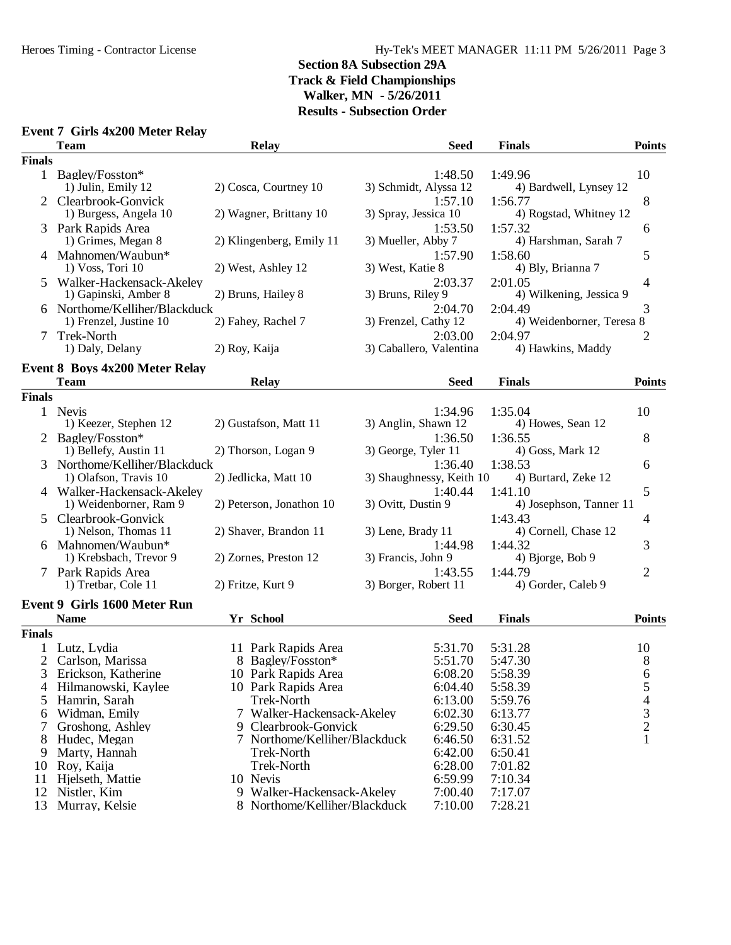### **Section 8A Subsection 29A Track & Field Championships Walker, MN - 5/26/2011**

## **Results - Subsection Order**

| Event 7 Girls 4x200 Meter Relay |  |  |  |  |
|---------------------------------|--|--|--|--|
|---------------------------------|--|--|--|--|

|               | <b>Team</b>                                             | <b>Relay</b>                  | <b>Seed</b>                         | <b>Finals</b>                        | <b>Points</b>  |
|---------------|---------------------------------------------------------|-------------------------------|-------------------------------------|--------------------------------------|----------------|
| <b>Finals</b> |                                                         |                               |                                     |                                      |                |
|               | 1 Bagley/Fosston*<br>1) Julin, Emily 12                 | 2) Cosca, Courtney 10         | 1:48.50<br>3) Schmidt, Alyssa 12    | 1:49.96<br>4) Bardwell, Lynsey 12    | 10             |
| 2             | Clearbrook-Gonvick<br>1) Burgess, Angela 10             | 2) Wagner, Brittany 10        | 1:57.10<br>3) Spray, Jessica 10     | 1:56.77<br>4) Rogstad, Whitney 12    | 8              |
|               | 3 Park Rapids Area<br>1) Grimes, Megan 8                | 2) Klingenberg, Emily 11      | 1:53.50<br>3) Mueller, Abby 7       | 1:57.32<br>4) Harshman, Sarah 7      | 6              |
|               | 4 Mahnomen/Waubun*<br>1) Voss, Tori 10                  | 2) West, Ashley 12            | 1:57.90<br>3) West, Katie 8         | 1:58.60<br>4) Bly, Brianna 7         | 5              |
| 5             | Walker-Hackensack-Akeley<br>1) Gapinski, Amber 8        | 2) Bruns, Hailey 8            | 2:03.37<br>3) Bruns, Riley 9        | 2:01.05<br>4) Wilkening, Jessica 9   | 4              |
|               | 6 Northome/Kelliher/Blackduck<br>1) Frenzel, Justine 10 | 2) Fahey, Rachel 7            | 2:04.70<br>3) Frenzel, Cathy 12     | 2:04.49<br>4) Weidenborner, Teresa 8 | 3              |
|               | Trek-North<br>1) Daly, Delany                           | 2) Roy, Kaija                 | 2:03.00<br>3) Caballero, Valentina  | 2:04.97<br>4) Hawkins, Maddy         | 2              |
|               | <b>Event 8 Boys 4x200 Meter Relay</b>                   |                               |                                     |                                      |                |
|               | <b>Team</b>                                             | <b>Relay</b>                  | <b>Seed</b>                         | <b>Finals</b>                        | <b>Points</b>  |
| <b>Finals</b> |                                                         |                               |                                     |                                      |                |
|               | 1 Nevis<br>1) Keezer, Stephen 12                        | 2) Gustafson, Matt 11         | 1:34.96<br>3) Anglin, Shawn 12      | 1:35.04<br>4) Howes, Sean 12         | 10             |
|               | Bagley/Fosston*<br>1) Bellefy, Austin 11                | 2) Thorson, Logan 9           | 1:36.50<br>3) George, Tyler 11      | 1:36.55<br>4) Goss, Mark 12          | 8              |
|               | Northome/Kelliher/Blackduck<br>1) Olafson, Travis 10    | 2) Jedlicka, Matt 10          | 1:36.40<br>3) Shaughnessy, Keith 10 | 1:38.53<br>4) Burtard, Zeke 12       | 6              |
|               | 4 Walker-Hackensack-Akeley<br>1) Weidenborner, Ram 9    | 2) Peterson, Jonathon 10      | 1:40.44<br>3) Ovitt, Dustin 9       | 1:41.10<br>4) Josephson, Tanner 11   | 5              |
| 5             | Clearbrook-Gonvick<br>1) Nelson, Thomas 11              | 2) Shaver, Brandon 11         | 3) Lene, Brady 11                   | 1:43.43<br>4) Cornell, Chase 12      | 4              |
|               | 6 Mahnomen/Waubun*<br>1) Krebsbach, Trevor 9            | 2) Zornes, Preston 12         | 1:44.98<br>3) Francis, John 9       | 1:44.32<br>4) Bjorge, Bob $9$        | 3              |
|               | 7 Park Rapids Area<br>1) Tretbar, Cole 11               | 2) Fritze, Kurt 9             | 1:43.55<br>3) Borger, Robert 11     | 1:44.79<br>4) Gorder, Caleb 9        | 2              |
|               | Event 9 Girls 1600 Meter Run                            |                               |                                     |                                      |                |
|               | <b>Name</b>                                             | Yr School                     | <b>Seed</b>                         | <b>Finals</b>                        | <b>Points</b>  |
| <b>Finals</b> |                                                         |                               |                                     |                                      |                |
|               | Lutz, Lydia                                             | 11 Park Rapids Area           | 5:31.70                             | 5:31.28                              | 10             |
|               | Carlson, Marissa                                        | 8 Bagley/Fosston*             | 5:51.70                             | 5:47.30                              | 8              |
|               | 3 Erickson, Katherine                                   | 10 Park Rapids Area           | 6:08.20                             | 5:58.39                              | 6              |
| 4             | Hilmanowski, Kaylee                                     | 10 Park Rapids Area           | 6:04.40                             | 5:58.39                              | 5              |
| 5             | Hamrin, Sarah                                           | <b>Trek-North</b>             | 6:13.00                             | 5:59.76                              | 4              |
| 6             | Widman, Emily                                           | 7 Walker-Hackensack-Akeley    | 6:02.30                             | 6:13.77                              | 3              |
|               | Groshong, Ashley                                        | 9 Clearbrook-Gonvick          | 6:29.50                             | 6:30.45                              | $\overline{c}$ |
| 8             | Hudec, Megan                                            | 7 Northome/Kelliher/Blackduck | 6:46.50                             | 6:31.52                              | $\mathbf{1}$   |
| 9             | Marty, Hannah                                           | <b>Trek-North</b>             | 6:42.00                             | 6:50.41                              |                |
| 10            | Roy, Kaija                                              | Trek-North                    | 6:28.00                             | 7:01.82                              |                |
| 11            | Hjelseth, Mattie                                        | 10 Nevis                      | 6:59.99                             | 7:10.34                              |                |
| 12            | Nistler, Kim                                            | 9 Walker-Hackensack-Akeley    | 7:00.40                             | 7:17.07                              |                |
| 13            | Murray, Kelsie                                          | 8 Northome/Kelliher/Blackduck | 7:10.00                             | 7:28.21                              |                |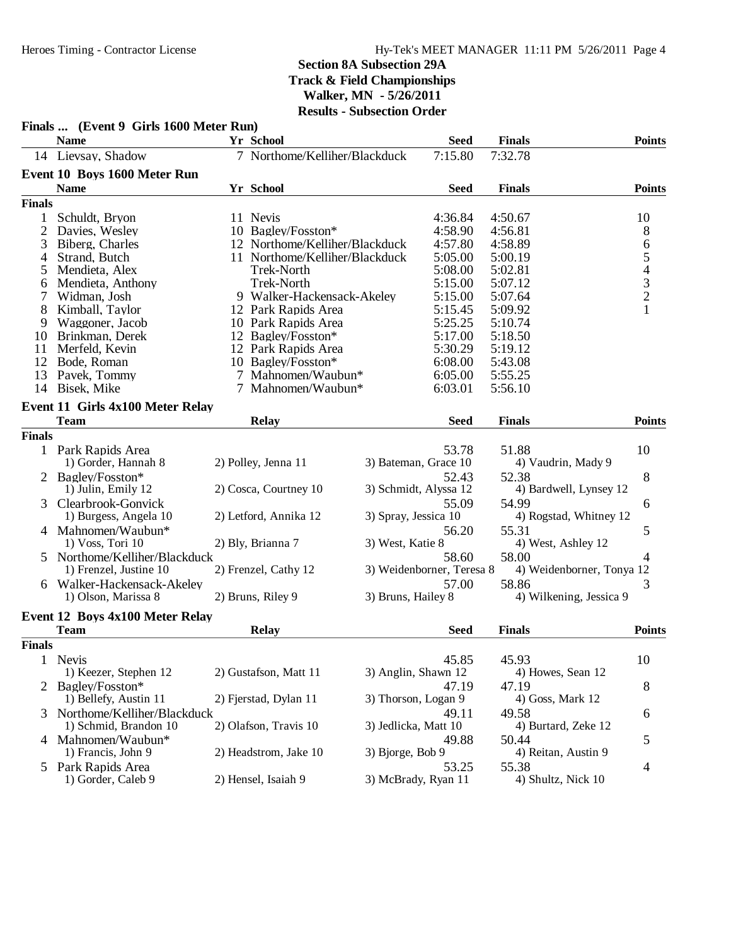|                | Finals  (Event 9 Girls 1600 Meter Run) |                                |                           |             |                           |                                            |
|----------------|----------------------------------------|--------------------------------|---------------------------|-------------|---------------------------|--------------------------------------------|
|                | <b>Name</b>                            | Yr School                      |                           | <b>Seed</b> | <b>Finals</b>             | <b>Points</b>                              |
|                | 14 Lievsay, Shadow                     | 7 Northome/Kelliher/Blackduck  |                           | 7:15.80     | 7:32.78                   |                                            |
|                | Event 10 Boys 1600 Meter Run           |                                |                           |             |                           |                                            |
|                | <b>Name</b>                            | Yr School                      |                           | <b>Seed</b> | <b>Finals</b>             | <b>Points</b>                              |
| <b>Finals</b>  |                                        |                                |                           |             |                           |                                            |
| $\mathbf 1$    | Schuldt, Bryon                         | 11 Nevis                       |                           | 4:36.84     | 4:50.67                   | 10                                         |
| $\mathfrak{2}$ | Davies, Wesley                         | 10 Bagley/Fosston*             |                           | 4:58.90     | 4:56.81                   | 8                                          |
| 3              | Biberg, Charles                        | 12 Northome/Kelliher/Blackduck |                           | 4:57.80     | 4:58.89                   | $\sqrt{6}$                                 |
| 4              | Strand, Butch                          | 11 Northome/Kelliher/Blackduck |                           | 5:05.00     | 5:00.19                   | $\mathfrak s$                              |
| 5              | Mendieta, Alex                         | <b>Trek-North</b>              |                           | 5:08.00     | 5:02.81                   |                                            |
| 6              | Mendieta, Anthony                      | Trek-North                     |                           | 5:15.00     | 5:07.12                   | $\begin{array}{c} 4 \\ 3 \\ 2 \end{array}$ |
| 7              | Widman, Josh                           | 9 Walker-Hackensack-Akeley     |                           | 5:15.00     | 5:07.64                   |                                            |
| 8              | Kimball, Taylor                        | 12 Park Rapids Area            |                           | 5:15.45     | 5:09.92                   | $\mathbf{1}$                               |
| 9              | Waggoner, Jacob                        | 10 Park Rapids Area            |                           | 5:25.25     | 5:10.74                   |                                            |
| 10             | Brinkman, Derek                        | 12 Bagley/Fosston*             |                           | 5:17.00     | 5:18.50                   |                                            |
| 11             | Merfeld, Kevin                         | 12 Park Rapids Area            |                           | 5:30.29     | 5:19.12                   |                                            |
| 12             | Bode, Roman                            | 10 Bagley/Fosston*             |                           | 6:08.00     | 5:43.08                   |                                            |
| 13             | Pavek, Tommy                           | 7 Mahnomen/Waubun*             |                           | 6:05.00     | 5:55.25                   |                                            |
|                | 14 Bisek, Mike                         | 7 Mahnomen/Waubun*             |                           | 6:03.01     | 5:56.10                   |                                            |
|                | Event 11 Girls 4x100 Meter Relay       |                                |                           |             |                           |                                            |
|                | <b>Team</b>                            | Relay                          |                           | <b>Seed</b> | <b>Finals</b>             | <b>Points</b>                              |
| <b>Finals</b>  |                                        |                                |                           |             |                           |                                            |
|                | 1 Park Rapids Area                     |                                |                           | 53.78       | 51.88                     | 10                                         |
|                | 1) Gorder, Hannah 8                    | 2) Polley, Jenna 11            | 3) Bateman, Grace 10      |             | 4) Vaudrin, Mady 9        |                                            |
|                | 2 Bagley/Fosston*                      |                                |                           | 52.43       | 52.38                     | 8                                          |
|                | 1) Julin, Emily 12                     | 2) Cosca, Courtney 10          | 3) Schmidt, Alyssa 12     |             | 4) Bardwell, Lynsey 12    |                                            |
| 3              | Clearbrook-Gonvick                     |                                |                           | 55.09       | 54.99                     | 6                                          |
|                | 1) Burgess, Angela 10                  | 2) Letford, Annika 12          | 3) Spray, Jessica 10      |             | 4) Rogstad, Whitney 12    |                                            |
|                | 4 Mahnomen/Waubun*                     |                                |                           | 56.20       | 55.31                     | 5                                          |
|                | $1) V$ oss, Tori $10$                  | 2) Bly, Brianna 7              | 3) West, Katie 8          |             | 4) West, Ashley 12        |                                            |
|                | Northome/Kelliher/Blackduck            |                                |                           | 58.60       | 58.00                     | 4                                          |
|                | 1) Frenzel, Justine 10                 | 2) Frenzel, Cathy 12           | 3) Weidenborner, Teresa 8 |             | 4) Weidenborner, Tonya 12 |                                            |
| 6              | Walker-Hackensack-Akeley               |                                |                           | 57.00       | 58.86                     | 3                                          |
|                | 1) Olson, Marissa 8                    | 2) Bruns, Riley 9              | 3) Bruns, Hailey 8        |             | 4) Wilkening, Jessica 9   |                                            |
|                |                                        |                                |                           |             |                           |                                            |
|                | Event 12 Boys 4x100 Meter Relay        |                                |                           |             |                           |                                            |
|                | <b>Team</b>                            | Relay                          |                           | <b>Seed</b> | <b>Finals</b>             | <b>Points</b>                              |
| <b>Finals</b>  |                                        |                                |                           |             |                           |                                            |
| 1              | Nevis                                  |                                |                           | 45.85       | 45.93                     | 10                                         |
|                | 1) Keezer, Stephen 12                  | 2) Gustafson, Matt 11          | 3) Anglin, Shawn 12       |             | 4) Howes, Sean 12         |                                            |
|                | 2 Bagley/Fosston*                      |                                |                           | 47.19       | 47.19                     | 8                                          |
|                | 1) Bellefy, Austin 11                  | 2) Fjerstad, Dylan 11          | 3) Thorson, Logan 9       |             | 4) Goss, Mark 12          |                                            |
| 3.             | Northome/Kelliher/Blackduck            |                                |                           | 49.11       | 49.58                     | 6                                          |
|                | 1) Schmid, Brandon 10                  | 2) Olafson, Travis 10          | 3) Jedlicka, Matt 10      |             | 4) Burtard, Zeke 12       |                                            |
|                | 4 Mahnomen/Waubun*                     | 2) Headstrom, Jake 10          |                           | 49.88       | 50.44                     | 5                                          |
|                | 1) Francis, John 9                     |                                | 3) Bjorge, Bob 9          |             | 4) Reitan, Austin 9       |                                            |
|                | 5 Park Rapids Area                     |                                |                           | 53.25       | 55.38                     | 4                                          |
|                | 1) Gorder, Caleb 9                     | 2) Hensel, Isaiah 9            | 3) McBrady, Ryan 11       |             | 4) Shultz, Nick 10        |                                            |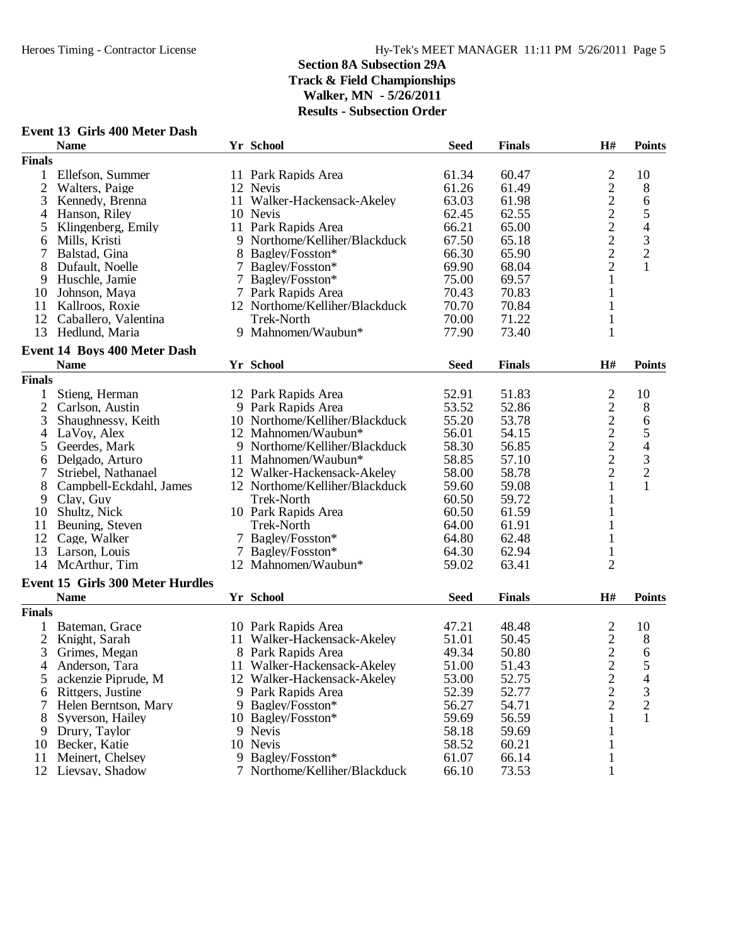|               | Event 13 Girls 400 Meter Dash    |                                |             |               |                                            |                          |
|---------------|----------------------------------|--------------------------------|-------------|---------------|--------------------------------------------|--------------------------|
|               | <b>Name</b>                      | Yr School                      | <b>Seed</b> | <b>Finals</b> | H#                                         | <b>Points</b>            |
| <b>Finals</b> |                                  |                                |             |               |                                            |                          |
| 1             | Ellefson, Summer                 | 11 Park Rapids Area            | 61.34       | 60.47         |                                            | 10                       |
| 2             | Walters, Paige                   | 12 Nevis                       | 61.26       | 61.49         |                                            | $8\,$                    |
| 3             | Kennedy, Brenna                  | 11 Walker-Hackensack-Akeley    | 63.03       | 61.98         | 22222                                      | $\sqrt{6}$               |
| 4             | Hanson, Riley                    | 10 Nevis                       | 62.45       | 62.55         |                                            | 5                        |
| 5             | Klingenberg, Emily               | 11 Park Rapids Area            | 66.21       | 65.00         |                                            | $\overline{\mathcal{A}}$ |
| 6             | Mills, Kristi                    | 9 Northome/Kelliher/Blackduck  | 67.50       | 65.18         |                                            |                          |
| 7             | Balstad, Gina                    | 8 Bagley/Fosston*              | 66.30       | 65.90         | $\overline{c}$                             | $\frac{3}{2}$            |
| 8             | Dufault, Noelle                  | 7 Bagley/Fosston*              | 69.90       | 68.04         | $\overline{2}$                             | $\mathbf{1}$             |
| 9             | Huschle, Jamie                   | 7 Bagley/Fosston*              | 75.00       | 69.57         | $\mathbf{1}$                               |                          |
| 10            | Johnson, Maya                    | 7 Park Rapids Area             | 70.43       | 70.83         | $\mathbf{1}$                               |                          |
| 11            | Kallroos, Roxie                  | 12 Northome/Kelliher/Blackduck | 70.70       | 70.84         | 1                                          |                          |
|               | 12 Caballero, Valentina          | Trek-North                     | 70.00       | 71.22         |                                            |                          |
| 13            |                                  | 9 Mahnomen/Waubun*             | 77.90       | 73.40         | $\mathbf 1$<br>$\mathbf{1}$                |                          |
|               | Hedlund, Maria                   |                                |             |               |                                            |                          |
|               | Event 14 Boys 400 Meter Dash     |                                |             |               |                                            |                          |
|               | <b>Name</b>                      | Yr School                      | <b>Seed</b> | <b>Finals</b> | H#                                         | <b>Points</b>            |
| <b>Finals</b> |                                  |                                |             |               |                                            |                          |
| 1             | Stieng, Herman                   | 12 Park Rapids Area            | 52.91       | 51.83         | 2                                          | 10                       |
| 2             | Carlson, Austin                  | 9 Park Rapids Area             | 53.52       | 52.86         | $\overline{c}$                             | $8\,$                    |
| 3             | Shaughnessy, Keith               | 10 Northome/Kelliher/Blackduck | 55.20       | 53.78         |                                            | 6                        |
| 4             | LaVoy, Alex                      | 12 Mahnomen/Waubun*            | 56.01       | 54.15         | $\begin{array}{c} 2 \\ 2 \\ 2 \end{array}$ |                          |
| 5             | Geerdes, Mark                    | 9 Northome/Kelliher/Blackduck  | 58.30       | 56.85         |                                            | $\frac{5}{4}$            |
| 6             | Delgado, Arturo                  | 11 Mahnomen/Waubun*            | 58.85       | 57.10         |                                            | $\overline{\mathbf{3}}$  |
| 7             | Striebel, Nathanael              | 12 Walker-Hackensack-Akeley    | 58.00       | 58.78         | $\overline{c}$                             | $\overline{c}$           |
| 8             | Campbell-Eckdahl, James          | 12 Northome/Kelliher/Blackduck | 59.60       | 59.08         | 1                                          | $\mathbf{1}$             |
| 9             | Clay, Guy                        | <b>Trek-North</b>              | 60.50       | 59.72         | 1                                          |                          |
| 10            | Shultz, Nick                     | 10 Park Rapids Area            | 60.50       | 61.59         |                                            |                          |
| 11            | Beuning, Steven                  | Trek-North                     | 64.00       | 61.91         | 1                                          |                          |
| 12            | Cage, Walker                     | 7 Bagley/Fosston*              | 64.80       | 62.48         | 1                                          |                          |
| 13            | Larson, Louis                    | 7 Bagley/Fosston*              | 64.30       | 62.94         | $\mathbf{1}$                               |                          |
|               | 14 McArthur, Tim                 | 12 Mahnomen/Waubun*            | 59.02       | 63.41         | $\overline{2}$                             |                          |
|               |                                  |                                |             |               |                                            |                          |
|               | Event 15 Girls 300 Meter Hurdles |                                |             |               |                                            |                          |
|               | <b>Name</b>                      | Yr School                      | <b>Seed</b> | <b>Finals</b> | H#                                         | <b>Points</b>            |
| <b>Finals</b> |                                  |                                |             |               |                                            |                          |
|               | Bateman, Grace                   | 10 Park Rapids Area            | 47.21       | 48.48         | $\overline{\mathbf{c}}$                    | 10                       |
| 2             | Knight, Sarah                    | 11 Walker-Hackensack-Akeley    | 51.01       | 50.45         |                                            | 8                        |
| 3             | Grimes, Megan                    | 8 Park Rapids Area             | 49.34       | 50.80         | $\frac{2}{2}$                              | 6                        |
| 4             | Anderson, Tara                   | 11 Walker-Hackensack-Akeley    | 51.00       | 51.43         | $\overline{c}$                             | 5                        |
| 5             | ackenzie Piprude, M              | 12 Walker-Hackensack-Akeley    | 53.00       | 52.75         | $\overline{c}$                             | 4                        |
| 6             | Rittgers, Justine                | 9 Park Rapids Area             | 52.39       | 52.77         | $\overline{c}$                             | 3                        |
|               | Helen Berntson, Mary             | 9 Bagley/Fosston*              | 56.27       | 54.71         | $\overline{2}$                             | $\overline{c}$           |
| 8             | Syverson, Hailey                 | 10 Bagley/Fosston*             | 59.69       | 56.59         | 1                                          | 1                        |
| 9             | Drury, Taylor                    | 9 Nevis                        | 58.18       | 59.69         | 1                                          |                          |
| 10            | Becker, Katie                    | 10 Nevis                       | 58.52       | 60.21         | $\mathbf{1}$                               |                          |
| 11            | Meinert, Chelsey                 | 9 Bagley/Fosston*              | 61.07       | 66.14         | $\mathbf{1}$                               |                          |
|               | 12 Lievsay, Shadow               | 7 Northome/Kelliher/Blackduck  | 66.10       | 73.53         | 1                                          |                          |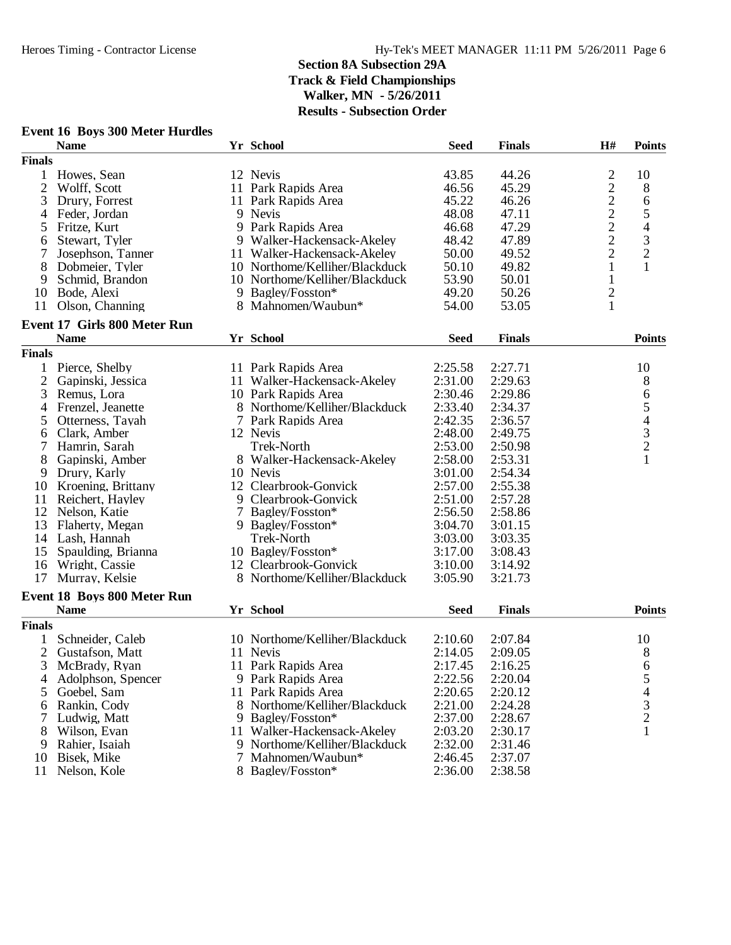## **Event 16 Boys 300 Meter Hurdles**

|                | <b>Name</b>                         |     | Yr School                      | <b>Seed</b> | <b>Finals</b> | H#             | <b>Points</b>                                   |
|----------------|-------------------------------------|-----|--------------------------------|-------------|---------------|----------------|-------------------------------------------------|
| <b>Finals</b>  |                                     |     |                                |             |               |                |                                                 |
| 1              | Howes, Sean                         |     | 12 Nevis                       | 43.85       | 44.26         |                | 10                                              |
| $\overline{2}$ | Wolff, Scott                        |     | 11 Park Rapids Area            | 46.56       | 45.29         | $\frac{2}{2}$  | 8                                               |
| 3              | Drury, Forrest                      |     | 11 Park Rapids Area            | 45.22       | 46.26         |                | 6                                               |
| 4              | Feder, Jordan                       |     | 9 Nevis                        | 48.08       | 47.11         | $\overline{c}$ | 5                                               |
| 5              | Fritze, Kurt                        |     | 9 Park Rapids Area             | 46.68       | 47.29         |                | $\overline{\mathcal{L}}$                        |
| 6              | Stewart, Tyler                      |     | 9 Walker-Hackensack-Akeley     | 48.42       | 47.89         | $\frac{2}{2}$  | 3                                               |
| 7              | Josephson, Tanner                   |     | 11 Walker-Hackensack-Akeley    | 50.00       | 49.52         | $\overline{c}$ | $\overline{c}$                                  |
| 8              | Dobmeier, Tyler                     |     | 10 Northome/Kelliher/Blackduck | 50.10       | 49.82         | $\mathbf{1}$   | $\mathbf{1}$                                    |
| 9              | Schmid, Brandon                     |     | 10 Northome/Kelliher/Blackduck | 53.90       | 50.01         | $\mathbf{1}$   |                                                 |
| 10             | Bode, Alexi                         |     | 9 Bagley/Fosston*              | 49.20       | 50.26         |                |                                                 |
| 11             | Olson, Channing                     |     | 8 Mahnomen/Waubun*             | 54.00       | 53.05         | $\frac{2}{1}$  |                                                 |
|                |                                     |     |                                |             |               |                |                                                 |
|                | <b>Event 17 Girls 800 Meter Run</b> |     |                                |             |               |                |                                                 |
|                | <b>Name</b>                         |     | Yr School                      | <b>Seed</b> | <b>Finals</b> |                | <b>Points</b>                                   |
| <b>Finals</b>  |                                     |     |                                |             |               |                |                                                 |
| 1              | Pierce, Shelby                      |     | 11 Park Rapids Area            | 2:25.58     | 2:27.71       |                | 10                                              |
| $\overline{2}$ | Gapinski, Jessica                   |     | 11 Walker-Hackensack-Akeley    | 2:31.00     | 2:29.63       |                | 8                                               |
| 3              | Remus, Lora                         |     | 10 Park Rapids Area            | 2:30.46     | 2:29.86       |                | 6                                               |
| 4              | Frenzel, Jeanette                   |     | 8 Northome/Kelliher/Blackduck  | 2:33.40     | 2:34.37       |                | 5                                               |
| 5              | Otterness, Tayah                    |     | 7 Park Rapids Area             | 2:42.35     | 2:36.57       |                |                                                 |
| 6              | Clark, Amber                        |     | 12 Nevis                       | 2:48.00     | 2:49.75       |                | $\begin{array}{c} 4 \\ 3 \\ 2 \\ 1 \end{array}$ |
| 7              | Hamrin, Sarah                       |     | <b>Trek-North</b>              | 2:53.00     | 2:50.98       |                |                                                 |
| 8              | Gapinski, Amber                     |     | 8 Walker-Hackensack-Akeley     | 2:58.00     | 2:53.31       |                |                                                 |
| 9              | Drury, Karly                        |     | 10 Nevis                       | 3:01.00     | 2:54.34       |                |                                                 |
| 10             | Kroening, Brittany                  |     | 12 Clearbrook-Gonvick          | 2:57.00     | 2:55.38       |                |                                                 |
| 11             | Reichert, Hayley                    |     | 9 Clearbrook-Gonvick           | 2:51.00     | 2:57.28       |                |                                                 |
| 12             | Nelson, Katie                       |     | 7 Bagley/Fosston*              | 2:56.50     | 2:58.86       |                |                                                 |
| 13             | Flaherty, Megan                     |     | 9 Bagley/Fosston*              | 3:04.70     | 3:01.15       |                |                                                 |
|                | 14 Lash, Hannah                     |     | <b>Trek-North</b>              | 3:03.00     | 3:03.35       |                |                                                 |
| 15             | Spaulding, Brianna                  |     | 10 Bagley/Fosston*             | 3:17.00     | 3:08.43       |                |                                                 |
| 16             | Wright, Cassie                      |     | 12 Clearbrook-Gonvick          | 3:10.00     | 3:14.92       |                |                                                 |
| 17             | Murray, Kelsie                      |     | 8 Northome/Kelliher/Blackduck  | 3:05.90     | 3:21.73       |                |                                                 |
|                | <b>Event 18 Boys 800 Meter Run</b>  |     |                                |             |               |                |                                                 |
|                | <b>Name</b>                         |     | Yr School                      | <b>Seed</b> | <b>Finals</b> |                | <b>Points</b>                                   |
| <b>Finals</b>  |                                     |     |                                |             |               |                |                                                 |
|                | Schneider, Caleb                    |     | 10 Northome/Kelliher/Blackduck | 2:10.60     | 2:07.84       |                | 10                                              |
| $\overline{2}$ | Gustafson, Matt                     |     | 11 Nevis                       | 2:14.05     | 2:09.05       |                |                                                 |
|                |                                     |     |                                |             | 2:16.25       |                | 8                                               |
| 3              | McBrady, Ryan                       |     | 11 Park Rapids Area            | 2:17.45     |               |                | 6                                               |
| 4              | Adolphson, Spencer                  |     | 9 Park Rapids Area             | 2:22.56     | 2:20.04       |                | 5                                               |
| 5              | Goebel, Sam                         |     | 11 Park Rapids Area            | 2:20.65     | 2:20.12       |                | 4                                               |
| 6              | Rankin, Cody                        |     | 8 Northome/Kelliher/Blackduck  | 2:21.00     | 2:24.28       |                | $\mathfrak{Z}$                                  |
| 7              | Ludwig, Matt                        |     | 9 Bagley/Fosston*              | 2:37.00     | 2:28.67       |                | $\overline{c}$                                  |
| 8              | Wilson, Evan                        | 11. | Walker-Hackensack-Akeley       | 2:03.20     | 2:30.17       |                | 1                                               |
| 9              | Rahier, Isaiah                      |     | 9 Northome/Kelliher/Blackduck  | 2:32.00     | 2:31.46       |                |                                                 |
| 10             | Bisek, Mike                         | 7   | Mahnomen/Waubun*               | 2:46.45     | 2:37.07       |                |                                                 |
| 11             | Nelson, Kole                        |     | 8 Bagley/Fosston*              | 2:36.00     | 2:38.58       |                |                                                 |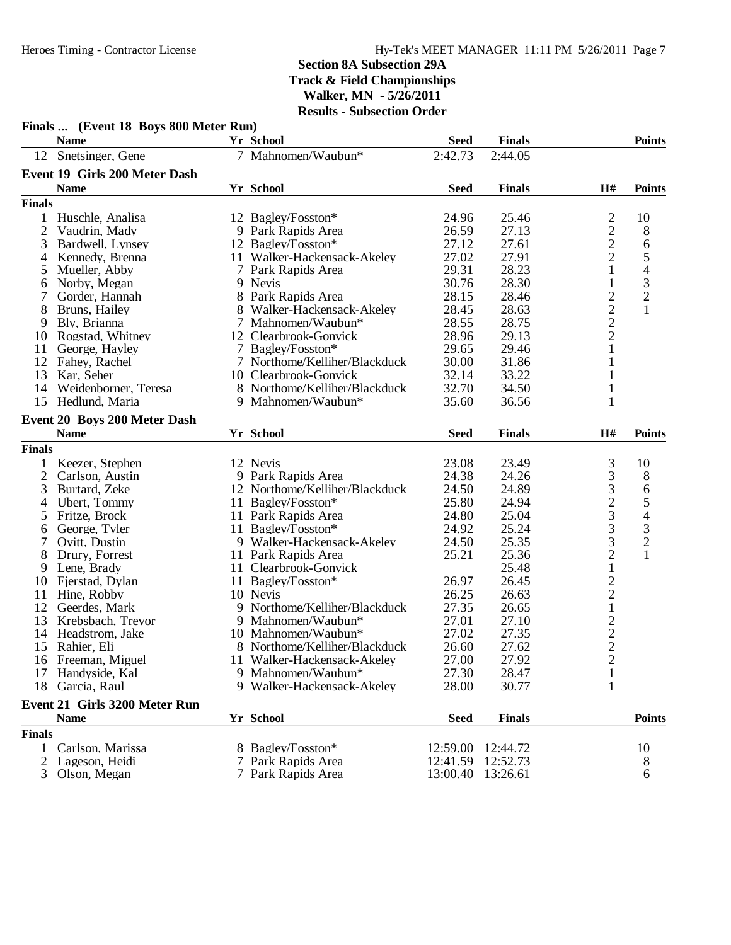|               | Finals  (Event 18 Boys 800 Meter Run) |                                |             |               |                                                   |                          |
|---------------|---------------------------------------|--------------------------------|-------------|---------------|---------------------------------------------------|--------------------------|
|               | <b>Name</b>                           | Yr School                      | <b>Seed</b> | <b>Finals</b> |                                                   | <b>Points</b>            |
|               | 12 Snetsinger, Gene                   | 7 Mahnomen/Waubun*             | 2:42.73     | 2:44.05       |                                                   |                          |
|               | Event 19 Girls 200 Meter Dash         |                                |             |               |                                                   |                          |
|               | <b>Name</b>                           | <b>Yr School</b>               | <b>Seed</b> | <b>Finals</b> | H#                                                | <b>Points</b>            |
| <b>Finals</b> |                                       |                                |             |               |                                                   |                          |
| 1             | Huschle, Analisa                      | 12 Bagley/Fosston*             | 24.96       | 25.46         | $\overline{c}$                                    | 10                       |
| 2             | Vaudrin, Mady                         | 9 Park Rapids Area             | 26.59       | 27.13         | $\frac{2}{2}$                                     | 8                        |
| 3             | Bardwell, Lynsey                      | 12 Bagley/Fosston*             | 27.12       | 27.61         |                                                   | 6                        |
| 4             | Kennedy, Brenna                       | 11 Walker-Hackensack-Akeley    | 27.02       | 27.91         | $\overline{c}$                                    | $\mathfrak{S}$           |
| 5             | Mueller, Abby                         | 7 Park Rapids Area             | 29.31       | 28.23         | $\mathbf{1}$                                      | $\overline{\mathcal{A}}$ |
| 6             | Norby, Megan                          | 9 Nevis                        | 30.76       | 28.30         | $\mathbf{1}$                                      | $\frac{3}{2}$            |
| 7             | Gorder, Hannah                        | 8 Park Rapids Area             | 28.15       | 28.46         | $\begin{array}{c} 2 \\ 2 \\ 2 \end{array}$        |                          |
| 8             | Bruns, Hailey                         | 8 Walker-Hackensack-Akeley     | 28.45       | 28.63         |                                                   | $\mathbf{1}$             |
| 9             | Bly, Brianna                          | 7 Mahnomen/Waubun*             | 28.55       | 28.75         |                                                   |                          |
| 10            | Rogstad, Whitney                      | 12 Clearbrook-Gonvick          | 28.96       | 29.13         |                                                   |                          |
| 11            | George, Hayley                        | 7 Bagley/Fosston*              | 29.65       | 29.46         | $\mathbf{1}$                                      |                          |
| 12            | Fahey, Rachel                         | 7 Northome/Kelliher/Blackduck  | 30.00       | 31.86         | 1                                                 |                          |
| 13            | Kar, Seher                            | 10 Clearbrook-Gonvick          | 32.14       | 33.22         |                                                   |                          |
| 14            | Weidenborner, Teresa                  | 8 Northome/Kelliher/Blackduck  | 32.70       | 34.50         | 1                                                 |                          |
|               | 15 Hedlund, Maria                     | 9 Mahnomen/Waubun*             | 35.60       | 36.56         | 1                                                 |                          |
|               | Event 20 Boys 200 Meter Dash          |                                |             |               |                                                   |                          |
|               | <b>Name</b>                           | Yr School                      | <b>Seed</b> | <b>Finals</b> | H#                                                | <b>Points</b>            |
| <b>Finals</b> |                                       |                                |             |               |                                                   |                          |
| 1             | Keezer, Stephen                       | 12 Nevis                       | 23.08       | 23.49         | $\mathfrak{Z}$                                    | 10                       |
| 2             | Carlson, Austin                       | 9 Park Rapids Area             | 24.38       | 24.26         | 3                                                 | 8                        |
| 3             | Burtard, Zeke                         | 12 Northome/Kelliher/Blackduck | 24.50       | 24.89         | 3                                                 | 6                        |
| 4             | Ubert, Tommy                          | 11 Bagley/Fosston*             | 25.80       | 24.94         |                                                   | 5                        |
| 5             | Fritze, Brock                         | 11 Park Rapids Area            | 24.80       | 25.04         | $\frac{2}{3}$                                     | $\overline{4}$           |
| 6             | George, Tyler                         | 11 Bagley/Fosston*             | 24.92       | 25.24         | 3                                                 | $\mathfrak{Z}$           |
| 7             | Ovitt, Dustin                         | 9 Walker-Hackensack-Akeley     | 24.50       | 25.35         | 3                                                 | $\sqrt{2}$               |
| 8             | Drury, Forrest                        | 11 Park Rapids Area            | 25.21       | 25.36         | $\overline{c}$                                    | $\mathbf{1}$             |
| 9             | Lene, Brady                           | 11 Clearbrook-Gonvick          |             | 25.48         | $\,1\,$                                           |                          |
| 10            | Fjerstad, Dylan                       | 11 Bagley/Fosston*             | 26.97       | 26.45         |                                                   |                          |
| 11            | Hine, Robby                           | 10 Nevis                       | 26.25       | 26.63         | $\begin{array}{c}\n2 \\ 2 \\ 1 \\ 2\n\end{array}$ |                          |
| 12            | Geerdes, Mark                         | 9 Northome/Kelliher/Blackduck  | 27.35       | 26.65         |                                                   |                          |
| 13            | Krebsbach, Trevor                     | 9 Mahnomen/Waubun*             | 27.01       | 27.10         |                                                   |                          |
| 14            | Headstrom, Jake                       | 10 Mahnomen/Waubun*            | 27.02       | 27.35         |                                                   |                          |
|               | 15 Rahier, Eli                        | 8 Northome/Kelliher/Blackduck  | 26.60       | 27.62         | $\overline{2}$                                    |                          |
|               | 16 Freeman, Miguel                    | 11 Walker-Hackensack-Akeley    | 27.00       | 27.92         | $\overline{2}$                                    |                          |
| 17            | Handyside, Kal                        | 9 Mahnomen/Waubun*             | 27.30       | 28.47         | 1                                                 |                          |
| 18            | Garcia, Raul                          | 9 Walker-Hackensack-Akeley     | 28.00       | 30.77         | $\mathbf{1}$                                      |                          |
|               | <b>Event 21 Girls 3200 Meter Run</b>  |                                |             |               |                                                   |                          |
|               | <b>Name</b>                           | Yr School                      | <b>Seed</b> | <b>Finals</b> |                                                   | <b>Points</b>            |
| <b>Finals</b> |                                       |                                |             |               |                                                   |                          |
| 1             | Carlson, Marissa                      | 8 Bagley/Fosston*              | 12:59.00    | 12:44.72      |                                                   | 10                       |
| 2             | Lageson, Heidi                        | 7 Park Rapids Area             | 12:41.59    | 12:52.73      |                                                   | 8                        |
|               | Olson, Megan                          | 7 Park Rapids Area             | 13:00.40    | 13:26.61      |                                                   | 6                        |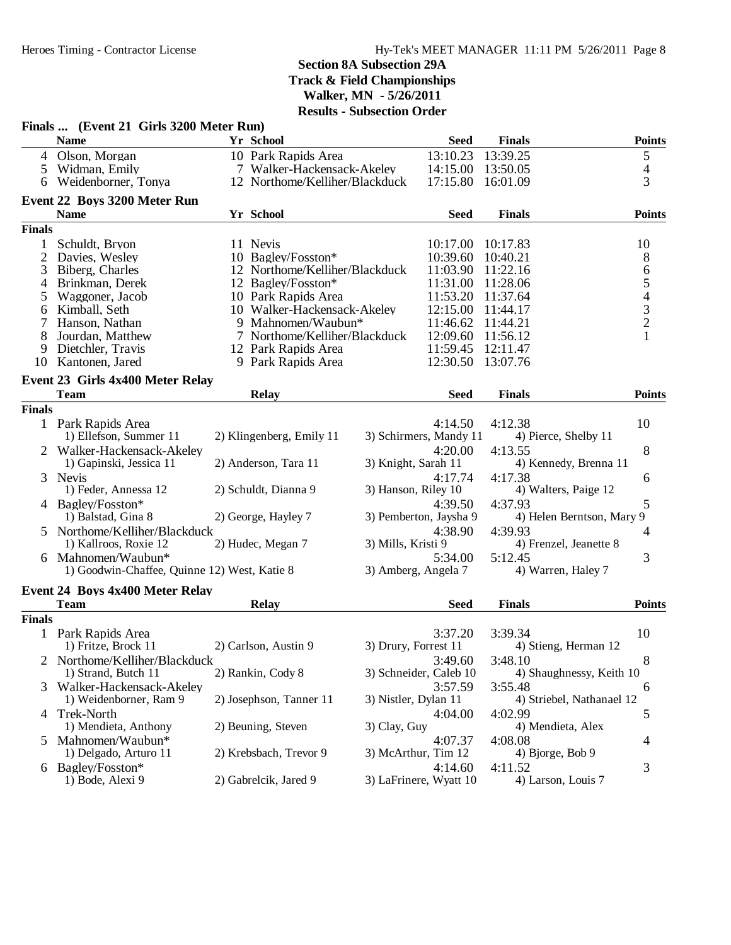|                | Finals  (Event 21 Girls 3200 Meter Run)                            |                                |                      |                                   |                                      |               |
|----------------|--------------------------------------------------------------------|--------------------------------|----------------------|-----------------------------------|--------------------------------------|---------------|
|                | <b>Name</b>                                                        | Yr School                      |                      | <b>Seed</b>                       | <b>Finals</b>                        | <b>Points</b> |
|                | 4 Olson, Morgan                                                    | 10 Park Rapids Area            |                      | 13:10.23                          | 13:39.25                             | 5             |
| 5              | Widman, Emily                                                      | 7 Walker-Hackensack-Akeley     |                      | 14:15.00                          | 13:50.05                             | 4             |
| 6              | Weidenborner, Tonya                                                | 12 Northome/Kelliher/Blackduck |                      | 17:15.80                          | 16:01.09                             | 3             |
|                | Event 22 Boys 3200 Meter Run                                       |                                |                      |                                   |                                      |               |
|                | <b>Name</b>                                                        | Yr School                      |                      | <b>Seed</b>                       | <b>Finals</b>                        | <b>Points</b> |
| <b>Finals</b>  |                                                                    |                                |                      |                                   |                                      |               |
|                | Schuldt, Bryon                                                     | 11 Nevis                       |                      | 10:17.00                          | 10:17.83                             | 10            |
| $\overline{2}$ | Davies, Wesley                                                     | 10 Bagley/Fosston*             |                      | 10:39.60                          | 10:40.21                             | 8             |
| 3              | Biberg, Charles                                                    | 12 Northome/Kelliher/Blackduck |                      | 11:03.90                          | 11:22.16                             |               |
| $\overline{4}$ | Brinkman, Derek                                                    | 12 Bagley/Fosston*             |                      | 11:31.00                          | 11:28.06                             | 654321        |
| 5              | Waggoner, Jacob                                                    | 10 Park Rapids Area            |                      | 11:53.20                          | 11:37.64                             |               |
| 6              | Kimball, Seth                                                      | 10 Walker-Hackensack-Akeley    |                      | 12:15.00                          | 11:44.17                             |               |
|                | Hanson, Nathan                                                     | 9 Mahnomen/Waubun*             |                      | 11:46.62                          | 11:44.21                             |               |
| 8              | Jourdan, Matthew                                                   | 7 Northome/Kelliher/Blackduck  |                      | 12:09.60                          | 11:56.12                             |               |
| 9              | Dietchler, Travis                                                  | 12 Park Rapids Area            |                      | 11:59.45                          | 12:11.47                             |               |
| 10             | Kantonen, Jared                                                    | 9 Park Rapids Area             |                      | 12:30.50                          | 13:07.76                             |               |
|                | Event 23 Girls 4x400 Meter Relay                                   |                                |                      |                                   |                                      |               |
|                | <b>Team</b>                                                        | <b>Relay</b>                   |                      | <b>Seed</b>                       | <b>Finals</b>                        | <b>Points</b> |
| <b>Finals</b>  |                                                                    |                                |                      |                                   |                                      |               |
|                | 1 Park Rapids Area                                                 |                                |                      | 4:14.50                           | 4:12.38                              | 10            |
|                | 1) Ellefson, Summer 11                                             | 2) Klingenberg, Emily 11       |                      | 3) Schirmers, Mandy 11            | 4) Pierce, Shelby 11                 |               |
| 2              | Walker-Hackensack-Akeley                                           |                                |                      | 4:20.00                           | 4:13.55                              | 8             |
|                | 1) Gapinski, Jessica 11                                            | 2) Anderson, Tara 11           | 3) Knight, Sarah 11  |                                   | 4) Kennedy, Brenna 11                |               |
|                |                                                                    |                                |                      |                                   |                                      |               |
| 3              | Nevis<br>1) Feder, Annessa 12                                      | 2) Schuldt, Dianna 9           | 3) Hanson, Riley 10  | 4:17.74                           | 4:17.38<br>4) Walters, Paige 12      | 6             |
|                |                                                                    |                                |                      |                                   |                                      | 5             |
|                | 4 Bagley/Fosston*<br>1) Balstad, Gina 8                            | 2) George, Hayley 7            |                      | 4:39.50<br>3) Pemberton, Jaysha 9 | 4:37.93<br>4) Helen Berntson, Mary 9 |               |
|                |                                                                    |                                |                      |                                   |                                      |               |
| 5              | Northome/Kelliher/Blackduck<br>1) Kallroos, Roxie 12               | 2) Hudec, Megan 7              | 3) Mills, Kristi 9   | 4:38.90                           | 4:39.93<br>4) Frenzel, Jeanette 8    | 4             |
|                |                                                                    |                                |                      |                                   |                                      |               |
|                | 6 Mahnomen/Waubun*<br>1) Goodwin-Chaffee, Quinne 12) West, Katie 8 |                                | 3) Amberg, Angela 7  | 5:34.00                           | 5:12.45<br>4) Warren, Haley 7        | 3             |
|                |                                                                    |                                |                      |                                   |                                      |               |
|                | <b>Event 24 Boys 4x400 Meter Relay</b>                             |                                |                      |                                   |                                      |               |
|                | <b>Team</b>                                                        | <b>Relay</b>                   |                      | <b>Seed</b>                       | <b>Finals</b>                        | <b>Points</b> |
| <b>Finals</b>  |                                                                    |                                |                      |                                   |                                      |               |
|                | 1 Park Rapids Area                                                 |                                |                      | 3:37.20                           | 3:39.34                              | 10            |
|                | 1) Fritze, Brock 11                                                | 2) Carlson, Austin 9           | 3) Drury, Forrest 11 |                                   | 4) Stieng, Herman 12                 |               |
|                | Northome/Kelliher/Blackduck                                        |                                |                      | 3:49.60                           | 3:48.10                              | 8             |
|                | 1) Strand, Butch 11                                                | 2) Rankin, Cody 8              |                      | 3) Schneider, Caleb 10            | 4) Shaughnessy, Keith 10             |               |
| 3              | Walker-Hackensack-Akeley                                           |                                |                      | 3:57.59                           | 3:55.48                              | 6             |
|                | 1) Weidenborner, Ram 9                                             | 2) Josephson, Tanner 11        | 3) Nistler, Dylan 11 |                                   | 4) Striebel, Nathanael 12            |               |
| 4              | Trek-North                                                         |                                |                      | 4:04.00                           | 4:02.99                              | 5             |
|                | 1) Mendieta, Anthony                                               | 2) Beuning, Steven             | 3) Clay, Guy         |                                   | 4) Mendieta, Alex                    |               |
| $\mathcal{F}$  | Mahnomen/Waubun*                                                   |                                |                      | 4:07.37                           | 4:08.08                              | 4             |
|                | 1) Delgado, Arturo 11                                              | 2) Krebsbach, Trevor 9         | 3) McArthur, Tim 12  |                                   | 4) Bjorge, Bob 9                     |               |
|                | 6 Bagley/Fosston*                                                  |                                |                      | 4:14.60                           | 4:11.52                              | 3             |
|                | 1) Bode, Alexi 9                                                   | 2) Gabrelcik, Jared 9          |                      | 3) LaFrinere, Wyatt 10            | 4) Larson, Louis 7                   |               |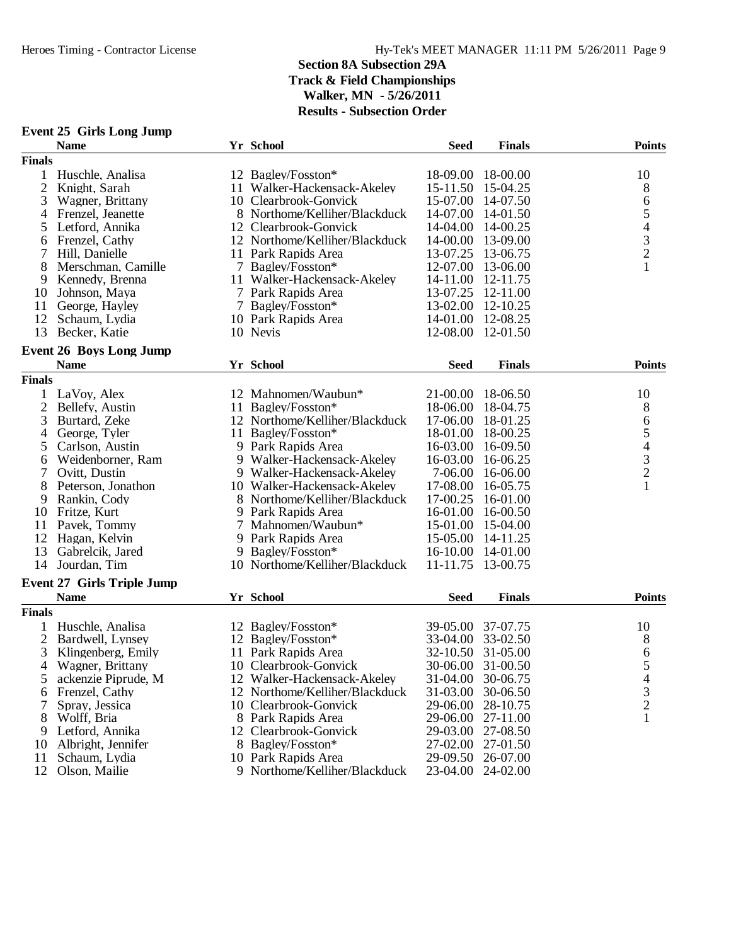|  |  |  |  | Event 25 Girls Long Jump |
|--|--|--|--|--------------------------|
|--|--|--|--|--------------------------|

|                | <b>Name</b>                                   | Yr School                      | <b>Seed</b>       | <b>Finals</b>     | <b>Points</b>                              |
|----------------|-----------------------------------------------|--------------------------------|-------------------|-------------------|--------------------------------------------|
| <b>Finals</b>  |                                               |                                |                   |                   |                                            |
| 1              | Huschle, Analisa                              | 12 Bagley/Fosston*             | 18-09.00          | 18-00.00          | 10                                         |
| $\overline{2}$ | Knight, Sarah                                 | 11 Walker-Hackensack-Akeley    |                   | 15-11.50 15-04.25 | 8                                          |
| 3              | Wagner, Brittany                              | 10 Clearbrook-Gonvick          | 15-07.00          | 14-07.50          | 6                                          |
| 4              | Frenzel, Jeanette                             | 8 Northome/Kelliher/Blackduck  | 14-07.00          | 14-01.50          | 5                                          |
| 5              | Letford, Annika                               | 12 Clearbrook-Gonvick          | 14-04.00          | 14-00.25          |                                            |
| 6              | Frenzel, Cathy                                | 12 Northome/Kelliher/Blackduck | 14-00.00          | 13-09.00          |                                            |
| 7              | Hill, Danielle                                | 11 Park Rapids Area            |                   | 13-07.25 13-06.75 | $\begin{array}{c} 4 \\ 3 \\ 2 \end{array}$ |
| 8              | Merschman, Camille                            | 7 Bagley/Fosston*              |                   | 12-07.00 13-06.00 | $\mathbf{1}$                               |
| 9              | Kennedy, Brenna                               | 11 Walker-Hackensack-Akeley    |                   | 14-11.00 12-11.75 |                                            |
| 10             | Johnson, Maya                                 | 7 Park Rapids Area             | 13-07.25          | 12-11.00          |                                            |
| 11             | George, Hayley                                | 7 Bagley/Fosston*              |                   | 13-02.00 12-10.25 |                                            |
| 12             | Schaum, Lydia                                 | 10 Park Rapids Area            | 14-01.00          | 12-08.25          |                                            |
| 13             | Becker, Katie                                 | 10 Nevis                       |                   | 12-08.00 12-01.50 |                                            |
|                |                                               |                                |                   |                   |                                            |
|                | <b>Event 26 Boys Long Jump</b><br><b>Name</b> |                                |                   |                   |                                            |
|                |                                               | Yr School                      | <b>Seed</b>       | <b>Finals</b>     | <b>Points</b>                              |
| <b>Finals</b>  |                                               |                                |                   |                   |                                            |
| 1              | LaVoy, Alex                                   | 12 Mahnomen/Waubun*            | 21-00.00 18-06.50 |                   | 10                                         |
| $\overline{c}$ | Bellefy, Austin                               | 11 Bagley/Fosston*             | 18-06.00          | 18-04.75          | 8                                          |
| 3              | Burtard, Zeke                                 | 12 Northome/Kelliher/Blackduck | 17-06.00          | 18-01.25          | 6                                          |
| 4              | George, Tyler                                 | 11 Bagley/Fosston*             | 18-01.00          | 18-00.25          | 5                                          |
| 5              | Carlson, Austin                               | 9 Park Rapids Area             |                   | 16-03.00 16-09.50 | $\begin{array}{c} 4 \\ 3 \\ 2 \end{array}$ |
| 6              | Weidenborner, Ram                             | 9 Walker-Hackensack-Akeley     |                   | 16-03.00 16-06.25 |                                            |
| 7              | Ovitt, Dustin                                 | 9 Walker-Hackensack-Akeley     | 7-06.00           | 16-06.00          |                                            |
| 8              | Peterson, Jonathon                            | 10 Walker-Hackensack-Akeley    | 17-08.00          | 16-05.75          | $\mathbf{1}$                               |
| 9              | Rankin, Cody                                  | 8 Northome/Kelliher/Blackduck  | 17-00.25          | 16-01.00          |                                            |
| 10             | Fritze, Kurt                                  | 9 Park Rapids Area             |                   | 16-01.00 16-00.50 |                                            |
| 11             | Pavek, Tommy                                  | 7 Mahnomen/Waubun*             |                   | 15-01.00 15-04.00 |                                            |
| 12             | Hagan, Kelvin                                 | 9 Park Rapids Area             | 15-05.00 14-11.25 |                   |                                            |
| 13             | Gabrelcik, Jared                              | 9 Bagley/Fosston*              | 16-10.00 14-01.00 |                   |                                            |
| 14             | Jourdan, Tim                                  | 10 Northome/Kelliher/Blackduck | 11-11.75          | 13-00.75          |                                            |
|                | <b>Event 27 Girls Triple Jump</b>             |                                |                   |                   |                                            |
|                | <b>Name</b>                                   | Yr School                      | <b>Seed</b>       | <b>Finals</b>     | <b>Points</b>                              |
| <b>Finals</b>  |                                               |                                |                   |                   |                                            |
|                | Huschle, Analisa                              | 12 Bagley/Fosston*             | 39-05.00          | 37-07.75          | 10                                         |
| 2              | Bardwell, Lynsey                              | 12 Bagley/Fosston*             | 33-04.00          | 33-02.50          | 8                                          |
| 3              | Klingenberg, Emily                            | 11 Park Rapids Area            | $32 - 10.50$      | 31-05.00          | 6                                          |
| $\overline{4}$ | Wagner, Brittany                              | 10 Clearbrook-Gonvick          |                   | 30-06.00 31-00.50 | 5                                          |
| 5              | ackenzie Piprude, M                           | 12 Walker-Hackensack-Akeley    | 31-04.00          | 30-06.75          | $\overline{4}$                             |
| 6              | Frenzel, Cathy                                | 12 Northome/Kelliher/Blackduck | 31-03.00          | 30-06.50          | 3                                          |
| 7              | Spray, Jessica                                | 10 Clearbrook-Gonvick          | 29-06.00          | 28-10.75          | $\overline{c}$                             |
| 8              | Wolff, Bria                                   | 8 Park Rapids Area             | 29-06.00          | 27-11.00          | 1                                          |
| 9              | Letford, Annika                               | 12 Clearbrook-Gonvick          |                   | 29-03.00 27-08.50 |                                            |
| 10             | Albright, Jennifer                            | 8 Bagley/Fosston*              | 27-02.00          | 27-01.50          |                                            |
| 11             | Schaum, Lydia                                 | 10 Park Rapids Area            | 29-09.50          | 26-07.00          |                                            |
| 12             | Olson, Mailie                                 | 9 Northome/Kelliher/Blackduck  | 23-04.00          | 24-02.00          |                                            |
|                |                                               |                                |                   |                   |                                            |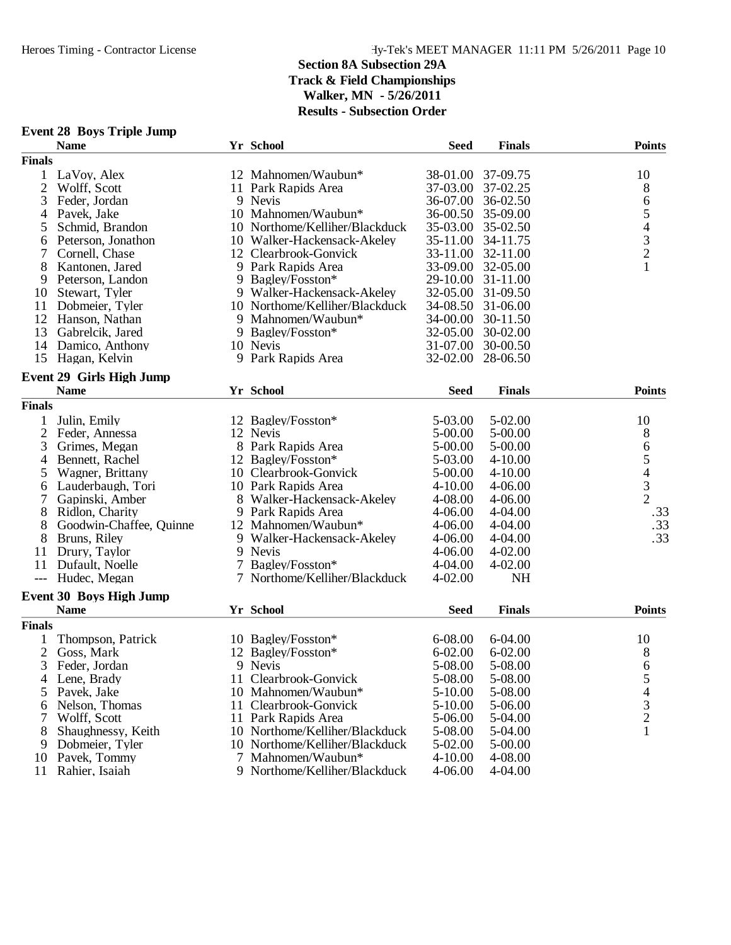|  |  |  | <b>Event 28 Boys Triple Jump</b> |  |
|--|--|--|----------------------------------|--|
|--|--|--|----------------------------------|--|

|                | <b>Name</b>                     |   | Yr School                      | <b>Seed</b>       | <b>Finals</b> | <b>Points</b>                                   |
|----------------|---------------------------------|---|--------------------------------|-------------------|---------------|-------------------------------------------------|
| <b>Finals</b>  |                                 |   |                                |                   |               |                                                 |
| 1              | LaVoy, Alex                     |   | 12 Mahnomen/Waubun*            | 38-01.00          | 37-09.75      | 10                                              |
| 2              | Wolff, Scott                    |   | 11 Park Rapids Area            | 37-03.00          | 37-02.25      | 8                                               |
| 3              | Feder, Jordan                   |   | 9 Nevis                        | 36-07.00          | 36-02.50      |                                                 |
| 4              | Pavek, Jake                     |   | 10 Mahnomen/Waubun*            | $36 - 00.50$      | 35-09.00      | 65432                                           |
| 5              | Schmid, Brandon                 |   | 10 Northome/Kelliher/Blackduck | 35-03.00          | 35-02.50      |                                                 |
| 6              | Peterson, Jonathon              |   | 10 Walker-Hackensack-Akeley    | 35-11.00          | 34-11.75      |                                                 |
| 7              | Cornell, Chase                  |   | 12 Clearbrook-Gonvick          | 33-11.00          | 32-11.00      |                                                 |
| 8              | Kantonen, Jared                 |   | 9 Park Rapids Area             | 33-09.00          | 32-05.00      | $\mathbf{1}$                                    |
| 9              | Peterson, Landon                |   | 9 Bagley/Fosston*              | 29-10.00          | 31-11.00      |                                                 |
| 10             | Stewart, Tyler                  |   | 9 Walker-Hackensack-Akeley     | 32-05.00          | 31-09.50      |                                                 |
| 11             | Dobmeier, Tyler                 |   | 10 Northome/Kelliher/Blackduck | 34-08.50          | 31-06.00      |                                                 |
| 12             | Hanson, Nathan                  |   | 9 Mahnomen/Waubun*             | 34-00.00          | 30-11.50      |                                                 |
| 13             | Gabrelcik, Jared                |   | 9 Bagley/Fosston*              | 32-05.00          | 30-02.00      |                                                 |
| 14             | Damico, Anthony                 |   | 10 Nevis                       | 31-07.00          | 30-00.50      |                                                 |
| 15             | Hagan, Kelvin                   |   | 9 Park Rapids Area             | 32-02.00 28-06.50 |               |                                                 |
|                |                                 |   |                                |                   |               |                                                 |
|                | <b>Event 29 Girls High Jump</b> |   |                                |                   |               |                                                 |
|                | <b>Name</b>                     |   | Yr School                      | <b>Seed</b>       | <b>Finals</b> | <b>Points</b>                                   |
| <b>Finals</b>  |                                 |   |                                |                   |               |                                                 |
|                | Julin, Emily                    |   | 12 Bagley/Fosston*             | 5-03.00           | 5-02.00       | 10                                              |
| $\overline{c}$ | Feder, Annessa                  |   | 12 Nevis                       | 5-00.00           | 5-00.00       | 8                                               |
| 3              | Grimes, Megan                   |   | 8 Park Rapids Area             | 5-00.00           | 5-00.00       | $\boldsymbol{6}$                                |
| 4              | Bennett, Rachel                 |   | 12 Bagley/Fosston*             | 5-03.00           | $4 - 10.00$   |                                                 |
| 5              | Wagner, Brittany                |   | 10 Clearbrook-Gonvick          | 5-00.00           | $4 - 10.00$   | $\begin{array}{c} 5 \\ 4 \\ 3 \\ 2 \end{array}$ |
| 6              | Lauderbaugh, Tori               |   | 10 Park Rapids Area            | $4 - 10.00$       | $4 - 06.00$   |                                                 |
| 7              | Gapinski, Amber                 |   | 8 Walker-Hackensack-Akeley     | 4-08.00           | $4 - 06.00$   |                                                 |
| 8              | Ridlon, Charity                 |   | 9 Park Rapids Area             | 4-06.00           | 4-04.00       | .33                                             |
| 8              | Goodwin-Chaffee, Quinne         |   | 12 Mahnomen/Waubun*            | 4-06.00           | 4-04.00       | .33                                             |
| 8              | Bruns, Riley                    |   | 9 Walker-Hackensack-Akeley     | 4-06.00           | 4-04.00       | .33                                             |
| 11             | Drury, Taylor                   |   | 9 Nevis                        | 4-06.00           | $4 - 02.00$   |                                                 |
| 11             | Dufault, Noelle                 | 7 | Bagley/Fosston*                | 4-04.00           | 4-02.00       |                                                 |
| $---$          | Hudec, Megan                    | 7 | Northome/Kelliher/Blackduck    | $4 - 02.00$       | <b>NH</b>     |                                                 |
|                | <b>Event 30 Boys High Jump</b>  |   |                                |                   |               |                                                 |
|                | <b>Name</b>                     |   | Yr School                      | <b>Seed</b>       | <b>Finals</b> | <b>Points</b>                                   |
| <b>Finals</b>  |                                 |   |                                |                   |               |                                                 |
|                |                                 |   |                                |                   |               |                                                 |
|                | Thompson, Patrick               |   | 10 Bagley/Fosston*             | 6-08.00           | $6 - 04.00$   | 10                                              |
| 2              | Goss, Mark                      |   | 12 Bagley/Fosston*             | $6 - 02.00$       | $6 - 02.00$   | 8                                               |
| 3              | Feder, Jordan                   |   | 9 Nevis                        | 5-08.00           | 5-08.00       | 6                                               |
| 4              | Lene, Brady                     |   | 11 Clearbrook-Gonvick          | 5-08.00           | 5-08.00       | ς                                               |
| 5              | Pavek, Jake                     |   | 10 Mahnomen/Waubun*            | 5-10.00           | 5-08.00       | $\overline{\mathcal{L}}$                        |
| 6              | Nelson, Thomas                  |   | 11 Clearbrook-Gonvick          | 5-10.00           | 5-06.00       | $\frac{3}{2}$                                   |
| 7              | Wolff, Scott                    |   | 11 Park Rapids Area            | 5-06.00           | 5-04.00       |                                                 |
| 8              | Shaughnessy, Keith              |   | 10 Northome/Kelliher/Blackduck | 5-08.00           | 5-04.00       | $\mathbf{1}$                                    |
| 9              | Dobmeier, Tyler                 |   | 10 Northome/Kelliher/Blackduck | 5-02.00           | 5-00.00       |                                                 |
| 10             | Pavek, Tommy                    |   | 7 Mahnomen/Waubun*             | $4 - 10.00$       | 4-08.00       |                                                 |
| 11             | Rahier, Isaiah                  |   | 9 Northome/Kelliher/Blackduck  | 4-06.00           | 4-04.00       |                                                 |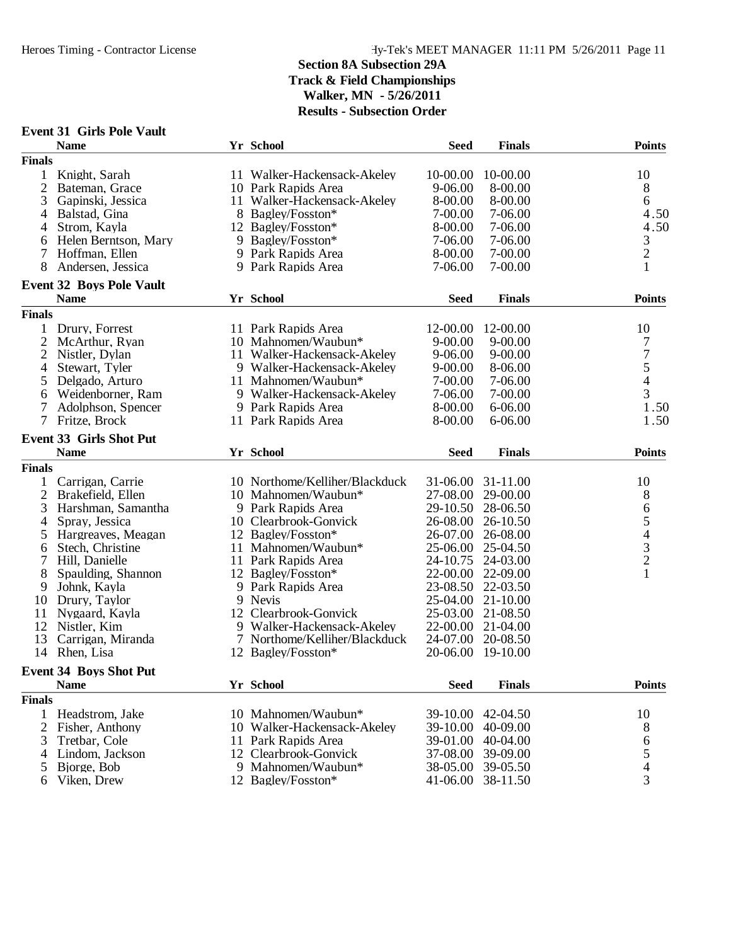|                | <b>Event 31 Girls Pole Vault</b> |    |                                |             |                   |                                            |
|----------------|----------------------------------|----|--------------------------------|-------------|-------------------|--------------------------------------------|
|                | <b>Name</b>                      |    | Yr School                      | <b>Seed</b> | <b>Finals</b>     | <b>Points</b>                              |
| <b>Finals</b>  |                                  |    |                                |             |                   |                                            |
| 1              | Knight, Sarah                    |    | 11 Walker-Hackensack-Akeley    | 10-00.00    | 10-00.00          | 10                                         |
| 2              | Bateman, Grace                   |    | 10 Park Rapids Area            | 9-06.00     | 8-00.00           | 8                                          |
| 3              | Gapinski, Jessica                | 11 | Walker-Hackensack-Akeley       | 8-00.00     | 8-00.00           | 6                                          |
| 4              | Balstad, Gina                    |    | 8 Bagley/Fosston*              | 7-00.00     | 7-06.00           | 4.50                                       |
| 4              | Strom, Kayla                     |    | 12 Bagley/Fosston*             | 8-00.00     | 7-06.00           | 4.50                                       |
| 6              | Helen Berntson, Mary             |    | 9 Bagley/Fosston*              | 7-06.00     | 7-06.00           | $\mathfrak{Z}$                             |
| 7              | Hoffman, Ellen                   |    | 9 Park Rapids Area             | 8-00.00     | 7-00.00           | $\overline{c}$                             |
| 8              | Andersen, Jessica                |    | 9 Park Rapids Area             | 7-06.00     | $7 - 00.00$       | $\mathbf{1}$                               |
|                | <b>Event 32 Boys Pole Vault</b>  |    |                                |             |                   |                                            |
|                | <b>Name</b>                      |    | Yr School                      | <b>Seed</b> | <b>Finals</b>     | <b>Points</b>                              |
| <b>Finals</b>  |                                  |    |                                |             |                   |                                            |
|                | 1 Drury, Forrest                 |    | 11 Park Rapids Area            | 12-00.00    | 12-00.00          | 10                                         |
| $\overline{2}$ | McArthur, Ryan                   |    | 10 Mahnomen/Waubun*            | $9 - 00.00$ | $9 - 00.00$       | 7                                          |
| $\overline{2}$ | Nistler, Dylan                   |    | 11 Walker-Hackensack-Akeley    | $9 - 06.00$ | $9 - 00.00$       | $\overline{7}$                             |
| 4              | Stewart, Tyler                   |    | 9 Walker-Hackensack-Akeley     | $9 - 00.00$ | 8-06.00           | 5                                          |
| 5              | Delgado, Arturo                  |    | 11 Mahnomen/Waubun*            | 7-00.00     | 7-06.00           | $\overline{4}$                             |
| 6              | Weidenborner, Ram                |    | 9 Walker-Hackensack-Akeley     | 7-06.00     | 7-00.00           | 3                                          |
| 7              | Adolphson, Spencer               |    | 9 Park Rapids Area             | 8-00.00     | $6 - 06.00$       | 1.50                                       |
| $\overline{7}$ | Fritze, Brock                    |    | 11 Park Rapids Area            | 8-00.00     | $6 - 06.00$       | 1.50                                       |
|                | <b>Event 33 Girls Shot Put</b>   |    |                                |             |                   |                                            |
|                | <b>Name</b>                      |    | Yr School                      | <b>Seed</b> | <b>Finals</b>     | <b>Points</b>                              |
| <b>Finals</b>  |                                  |    |                                |             |                   |                                            |
| 1              | Carrigan, Carrie                 |    | 10 Northome/Kelliher/Blackduck | 31-06.00    | 31-11.00          | 10                                         |
| $\overline{2}$ | Brakefield, Ellen                |    | 10 Mahnomen/Waubun*            | 27-08.00    | 29-00.00          | 8                                          |
| 3              | Harshman, Samantha               |    | 9 Park Rapids Area             | 29-10.50    | 28-06.50          | 6                                          |
| $\overline{4}$ | Spray, Jessica                   |    | 10 Clearbrook-Gonvick          | 26-08.00    | 26-10.50          |                                            |
| 5              | Hargreaves, Meagan               |    | 12 Bagley/Fosston*             | 26-07.00    | 26-08.00          |                                            |
| 6              | Stech, Christine                 |    | 11 Mahnomen/Waubun*            | 25-06.00    | 25-04.50          | 54321                                      |
| 7              | Hill, Danielle                   |    | 11 Park Rapids Area            | 24-10.75    | 24-03.00          |                                            |
| 8              | Spaulding, Shannon               |    | 12 Bagley/Fosston*             | 22-00.00    | 22-09.00          |                                            |
| 9              | Johnk, Kayla                     |    | 9 Park Rapids Area             | 23-08.50    | 22-03.50          |                                            |
| 10             | Drury, Taylor                    |    | 9 Nevis                        | 25-04.00    | $21 - 10.00$      |                                            |
|                |                                  |    |                                |             |                   |                                            |
| 11             | Nygaard, Kayla                   |    | 12 Clearbrook-Gonvick          |             | 25-03.00 21-08.50 |                                            |
| 12             | Nistler, Kim                     |    | 9 Walker-Hackensack-Akeley     |             | 22-00.00 21-04.00 |                                            |
| 13             | Carrigan, Miranda                |    | 7 Northome/Kelliher/Blackduck  | 24-07.00    | 20-08.50          |                                            |
|                | 14 Rhen, Lisa                    |    | 12 Bagley/Fosston*             |             | 20-06.00 19-10.00 |                                            |
|                | <b>Event 34 Boys Shot Put</b>    |    |                                |             |                   |                                            |
|                | <b>Name</b>                      |    | Yr School                      | <b>Seed</b> | <b>Finals</b>     | <b>Points</b>                              |
| <b>Finals</b>  |                                  |    |                                |             |                   |                                            |
| $\mathbf{1}$   | Headstrom, Jake                  |    | 10 Mahnomen/Waubun*            | 39-10.00    | 42-04.50          | 10                                         |
| 2              | Fisher, Anthony                  |    | 10 Walker-Hackensack-Akeley    | 39-10.00    | 40-09.00          | 8                                          |
| 3              | Tretbar, Cole                    |    | 11 Park Rapids Area            | 39-01.00    | 40-04.00          | 6                                          |
| 4              | Lindom, Jackson                  | 12 | Clearbrook-Gonvick             | 37-08.00    | 39-09.00          |                                            |
| 5              | Bjorge, Bob                      |    | 9 Mahnomen/Waubun*             | 38-05.00    | 39-05.50          | $\begin{array}{c} 5 \\ 4 \\ 3 \end{array}$ |
| 6              | Viken, Drew                      |    | 12 Bagley/Fosston*             | 41-06.00    | 38-11.50          |                                            |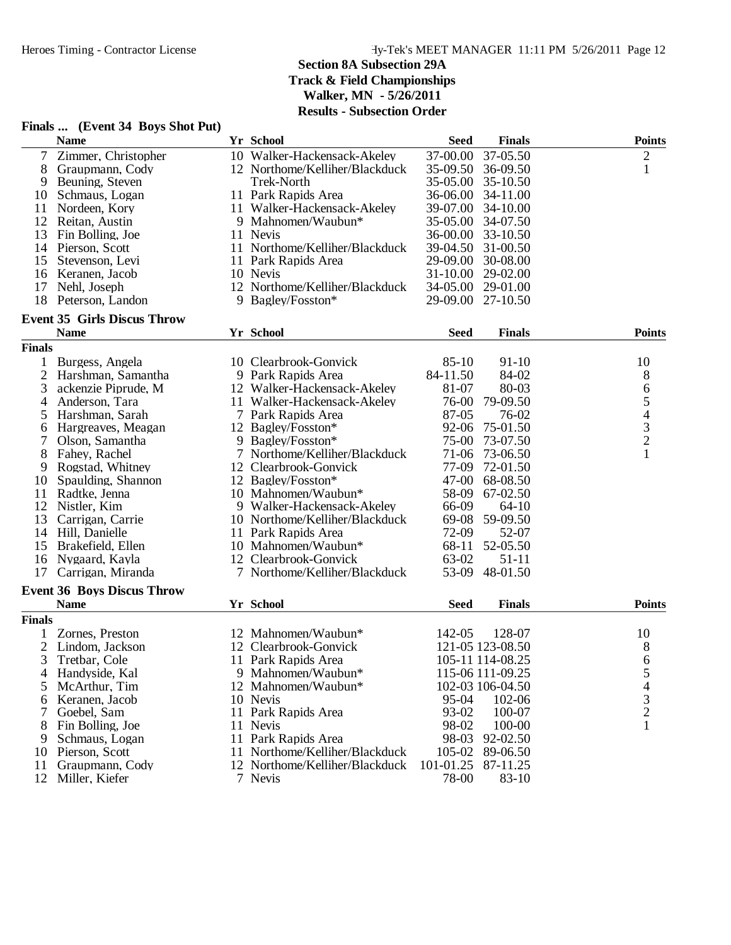|                | Finals  (Event 34 Boys Shot Put)   |                                |             |                   |                                            |
|----------------|------------------------------------|--------------------------------|-------------|-------------------|--------------------------------------------|
|                | <b>Name</b>                        | Yr School                      | <b>Seed</b> | <b>Finals</b>     | <b>Points</b>                              |
| $\overline{7}$ | Zimmer, Christopher                | 10 Walker-Hackensack-Akeley    | 37-00.00    | 37-05.50          | $\overline{c}$                             |
| 8              | Graupmann, Cody                    | 12 Northome/Kelliher/Blackduck | 35-09.50    | 36-09.50          | $\mathbf{1}$                               |
| 9              | Beuning, Steven                    | Trek-North                     | 35-05.00    | 35-10.50          |                                            |
| 10             | Schmaus, Logan                     | 11 Park Rapids Area            | 36-06.00    | 34-11.00          |                                            |
| 11             | Nordeen, Kory                      | 11 Walker-Hackensack-Akeley    | 39-07.00    | 34-10.00          |                                            |
| 12             | Reitan, Austin                     | 9 Mahnomen/Waubun*             | 35-05.00    | 34-07.50          |                                            |
| 13             | Fin Bolling, Joe                   | 11 Nevis                       |             | 36-00.00 33-10.50 |                                            |
|                | 14 Pierson, Scott                  | 11 Northome/Kelliher/Blackduck | 39-04.50    | 31-00.50          |                                            |
| 15             | Stevenson, Levi                    | 11 Park Rapids Area            | 29-09.00    | 30-08.00          |                                            |
| 16             | Keranen, Jacob                     | 10 Nevis                       | 31-10.00    | 29-02.00          |                                            |
| 17             | Nehl, Joseph                       | 12 Northome/Kelliher/Blackduck | 34-05.00    | 29-01.00          |                                            |
| 18             | Peterson, Landon                   | 9 Bagley/Fosston*              |             | 29-09.00 27-10.50 |                                            |
|                | <b>Event 35 Girls Discus Throw</b> |                                |             |                   |                                            |
|                | <b>Name</b>                        | Yr School                      | <b>Seed</b> | <b>Finals</b>     | <b>Points</b>                              |
| <b>Finals</b>  |                                    |                                |             |                   |                                            |
| 1              | Burgess, Angela                    | 10 Clearbrook-Gonvick          | $85 - 10$   | $91-10$           | 10                                         |
| $\overline{c}$ | Harshman, Samantha                 | 9 Park Rapids Area             | 84-11.50    | 84-02             | 8                                          |
| 3              | ackenzie Piprude, M                | 12 Walker-Hackensack-Akeley    | 81-07       | 80-03             | 6                                          |
| 4              | Anderson, Tara                     | 11 Walker-Hackensack-Akeley    | 76-00       | 79-09.50          | 5                                          |
| 5              | Harshman, Sarah                    | 7 Park Rapids Area             | 87-05       | 76-02             |                                            |
| 6              | Hargreaves, Meagan                 | 12 Bagley/Fosston*             | 92-06       | 75-01.50          | $\begin{array}{c} 4 \\ 3 \\ 2 \end{array}$ |
| 7              | Olson, Samantha                    | 9 Bagley/Fosston*              | $75-00$     | 73-07.50          |                                            |
| 8              | Fahey, Rachel                      | 7 Northome/Kelliher/Blackduck  | 71-06       | 73-06.50          | $\mathbf{1}$                               |
| 9              | Rogstad, Whitney                   | 12 Clearbrook-Gonvick          | 77-09       | 72-01.50          |                                            |
| 10             | Spaulding, Shannon                 | 12 Bagley/Fosston*             | $47 - 00$   | 68-08.50          |                                            |
| 11             | Radtke, Jenna                      | 10 Mahnomen/Waubun*            | 58-09       | 67-02.50          |                                            |
| 12             | Nistler, Kim                       | 9 Walker-Hackensack-Akeley     | 66-09       | $64-10$           |                                            |
| 13             | Carrigan, Carrie                   | 10 Northome/Kelliher/Blackduck | 69-08       | 59-09.50          |                                            |
| 14             | Hill, Danielle                     | 11 Park Rapids Area            | 72-09       | 52-07             |                                            |
| 15             | Brakefield, Ellen                  | 10 Mahnomen/Waubun*            | 68-11       | 52-05.50          |                                            |
| 16             | Nygaard, Kayla                     | 12 Clearbrook-Gonvick          | 63-02       | $51-11$           |                                            |
| 17             | Carrigan, Miranda                  | 7 Northome/Kelliher/Blackduck  | 53-09       | 48-01.50          |                                            |
|                | <b>Event 36 Boys Discus Throw</b>  |                                |             |                   |                                            |
|                | <b>Name</b>                        | Yr School                      | <b>Seed</b> | <b>Finals</b>     | <b>Points</b>                              |
| <b>Finals</b>  |                                    |                                |             |                   |                                            |
| 1              | Zornes, Preston                    | 12 Mahnomen/Waubun*            | 142-05      | 128-07            | 10                                         |
|                | Lindom, Jackson                    | 12 Clearbrook-Gonvick          |             | 121-05 123-08.50  | 8                                          |
| 3              | Tretbar, Cole                      | 11 Park Rapids Area            |             | 105-11 114-08.25  | 6                                          |
| 4              | Handyside, Kal                     | 9 Mahnomen/Waubun*             |             | 115-06 111-09.25  | 5                                          |
| 5              | McArthur, Tim                      | 12 Mahnomen/Waubun*            |             | 102-03 106-04.50  | 4                                          |
| 6              | Keranen, Jacob                     | 10 Nevis                       | 95-04       | 102-06            | 3                                          |
| 7              | Goebel, Sam                        | 11 Park Rapids Area            | 93-02       | 100-07            | $\overline{2}$                             |
| 8              | Fin Bolling, Joe                   | 11 Nevis                       | 98-02       | 100-00            | 1                                          |
|                | Schmaus, Logan                     | 11 Park Rapids Area            | 98-03       | 92-02.50          |                                            |
| 10             | Pierson, Scott                     | 11 Northome/Kelliher/Blackduck | 105-02      | 89-06.50          |                                            |
| 11             | Graupmann, Cody                    | 12 Northome/Kelliher/Blackduck | 101-01.25   | 87-11.25          |                                            |
| 12             | Miller, Kiefer                     | 7 Nevis                        | 78-00       | 83-10             |                                            |